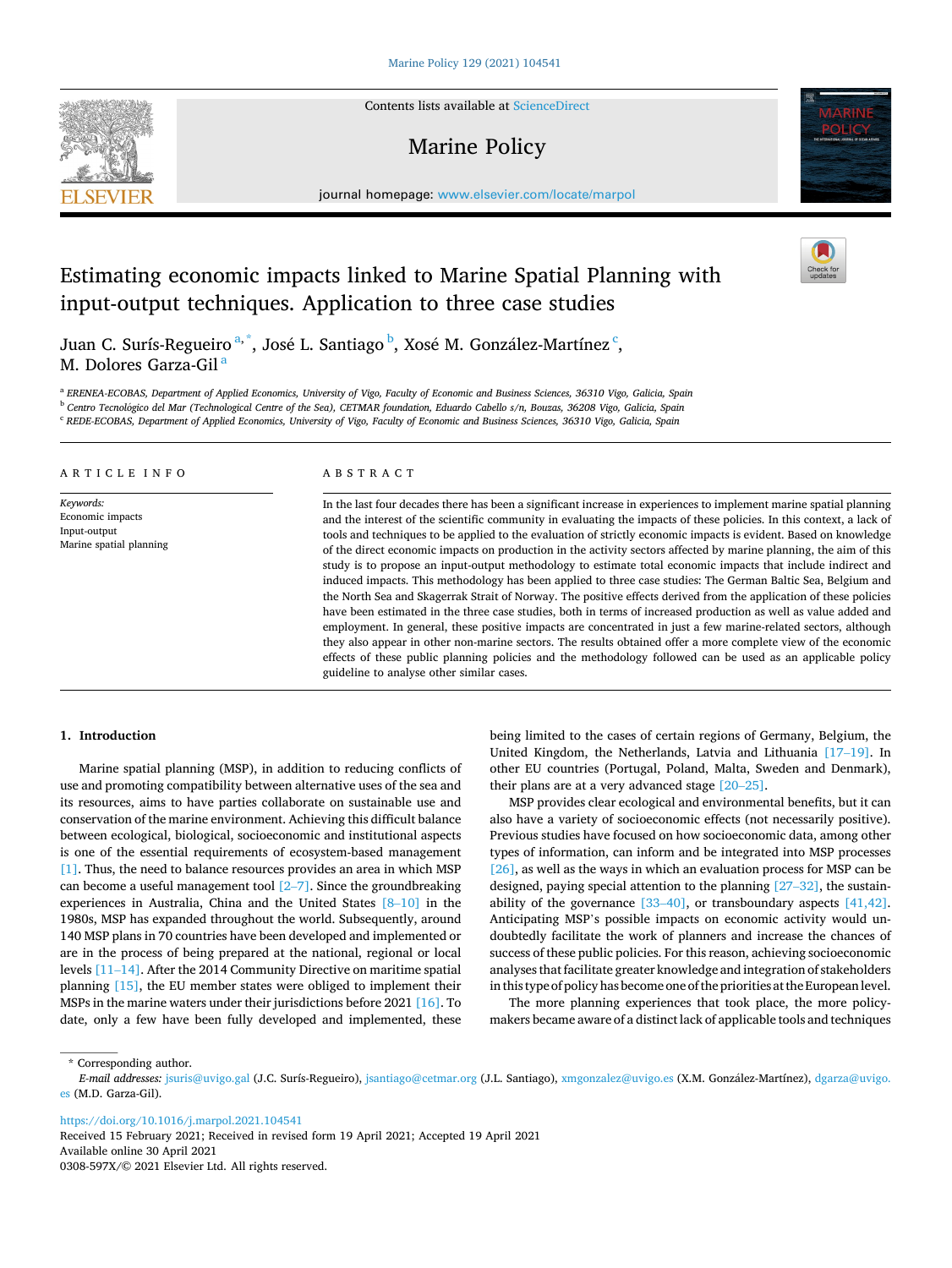Contents lists available at [ScienceDirect](www.sciencedirect.com/science/journal/0308597X)

# Marine Policy

journal homepage: [www.elsevier.com/locate/marpol](https://www.elsevier.com/locate/marpol) 

# Estimating economic impacts linked to Marine Spatial Planning with input-output techniques. Application to three case studies

Juan C. Surís-Regueiro<sup>a,\*</sup>, José L. Santiago <sup>b</sup>, Xosé M. González-Martínez <sup>c</sup>, M. Dolores Garza-Gil<sup>a</sup>

<sup>a</sup> ERENEA-ECOBAS, Department of Applied Economics, University of Vigo, Faculty of Economic and Business Sciences, 36310 Vigo, Galicia, Spain

<sup>b</sup> Centro Tecnológico del Mar (Technological Centre of the Sea), CETMAR foundation, Eduardo Cabello s/n, Bouzas, 36208 Vigo, Galicia, Spain

<sup>c</sup> *REDE-ECOBAS, Department of Applied Economics, University of Vigo, Faculty of Economic and Business Sciences, 36310 Vigo, Galicia, Spain* 

| ARTICLE INFO                                                             | ABSTRACT                                                                                                                                                                                                                                                                                                                                                                                                                                                                                                                                                                                                                                                                                                                                                                                                                                                                                                                                                                                                                                                                                                                                                                                                                                                                                                     |
|--------------------------------------------------------------------------|--------------------------------------------------------------------------------------------------------------------------------------------------------------------------------------------------------------------------------------------------------------------------------------------------------------------------------------------------------------------------------------------------------------------------------------------------------------------------------------------------------------------------------------------------------------------------------------------------------------------------------------------------------------------------------------------------------------------------------------------------------------------------------------------------------------------------------------------------------------------------------------------------------------------------------------------------------------------------------------------------------------------------------------------------------------------------------------------------------------------------------------------------------------------------------------------------------------------------------------------------------------------------------------------------------------|
| Keywords:<br>Economic impacts<br>Input-output<br>Marine spatial planning | In the last four decades there has been a significant increase in experiences to implement marine spatial planning<br>and the interest of the scientific community in evaluating the impacts of these policies. In this context, a lack of<br>tools and techniques to be applied to the evaluation of strictly economic impacts is evident. Based on knowledge<br>of the direct economic impacts on production in the activity sectors affected by marine planning, the aim of this<br>study is to propose an input-output methodology to estimate total economic impacts that include indirect and<br>induced impacts. This methodology has been applied to three case studies: The German Baltic Sea, Belgium and<br>the North Sea and Skagerrak Strait of Norway. The positive effects derived from the application of these policies<br>have been estimated in the three case studies, both in terms of increased production as well as value added and<br>employment. In general, these positive impacts are concentrated in just a few marine-related sectors, although<br>they also appear in other non-marine sectors. The results obtained offer a more complete view of the economic<br>effects of these public planning policies and the methodology followed can be used as an applicable policy |

guideline to analyse other similar cases.

#### **1. Introduction**

Marine spatial planning (MSP), in addition to reducing conflicts of use and promoting compatibility between alternative uses of the sea and its resources, aims to have parties collaborate on sustainable use and conservation of the marine environment. Achieving this difficult balance between ecological, biological, socioeconomic and institutional aspects is one of the essential requirements of ecosystem-based management [\[1\].](#page-18-0) Thus, the need to balance resources provides an area in which MSP can become a useful management tool [\[2](#page-18-0)–7]. Since the groundbreaking experiences in Australia, China and the United States [8–[10\]](#page-18-0) in the 1980s, MSP has expanded throughout the world. Subsequently, around 140 MSP plans in 70 countries have been developed and implemented or are in the process of being prepared at the national, regional or local levels [\[11](#page-18-0)–14]. After the 2014 Community Directive on maritime spatial planning [\[15\]](#page-18-0), the EU member states were obliged to implement their MSPs in the marine waters under their jurisdictions before 2021 [\[16\].](#page-18-0) To date, only a few have been fully developed and implemented, these being limited to the cases of certain regions of Germany, Belgium, the United Kingdom, the Netherlands, Latvia and Lithuania [\[17](#page-18-0)–19]. In other EU countries (Portugal, Poland, Malta, Sweden and Denmark), their plans are at a very advanced stage [20–[25\].](#page-18-0)

MSP provides clear ecological and environmental benefits, but it can also have a variety of socioeconomic effects (not necessarily positive). Previous studies have focused on how socioeconomic data, among other types of information, can inform and be integrated into MSP processes [\[26\]](#page-18-0), as well as the ways in which an evaluation process for MSP can be designed, paying special attention to the planning [27–[32\],](#page-18-0) the sustainability of the governance  $[33-40]$  $[33-40]$ , or transboundary aspects  $[41, 42]$ . Anticipating MSP's possible impacts on economic activity would undoubtedly facilitate the work of planners and increase the chances of success of these public policies. For this reason, achieving socioeconomic analyses that facilitate greater knowledge and integration of stakeholders in this type of policy has become one of the priorities at the European level.

The more planning experiences that took place, the more policymakers became aware of a distinct lack of applicable tools and techniques

\* Corresponding author.

<https://doi.org/10.1016/j.marpol.2021.104541>

Available online 30 April 2021 0308-597X/© 2021 Elsevier Ltd. All rights reserved. Received 15 February 2021; Received in revised form 19 April 2021; Accepted 19 April 2021







E-mail addresses: [jsuris@uvigo.gal](mailto:jsuris@uvigo.gal) (J.C. Surís-Regueiro), [jsantiago@cetmar.org](mailto:jsantiago@cetmar.org) (J.L. Santiago), [xmgonzalez@uvigo.es](mailto:xmgonzalez@uvigo.es) (X.M. González-Martínez), dgarza@uvigo. [es](mailto:dgarza@uvigo.es) (M.D. Garza-Gil).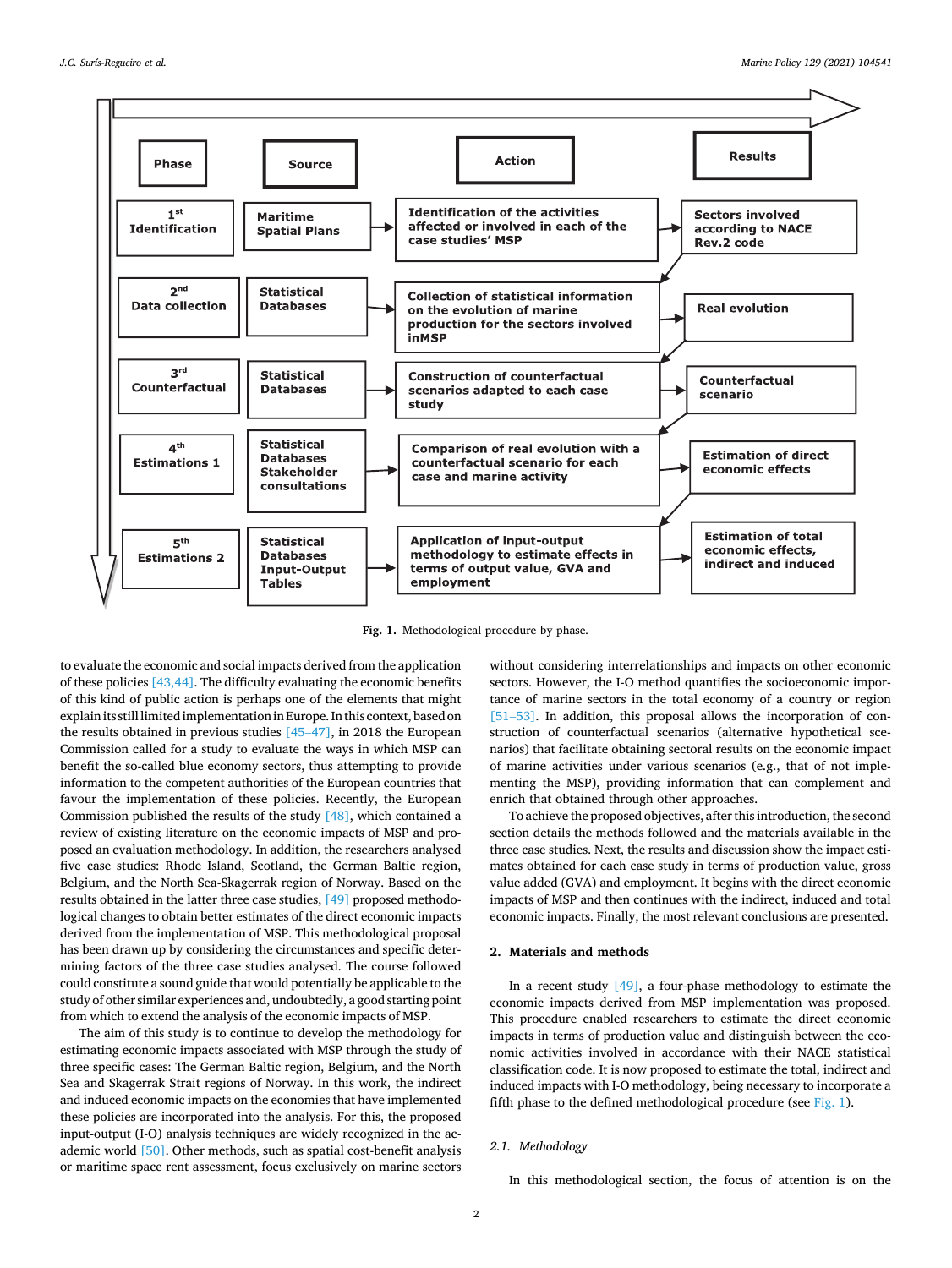

**Fig. 1.** Methodological procedure by phase.

to evaluate the economic and social impacts derived from the application of these policies [\[43,44\].](#page-19-0) The difficulty evaluating the economic benefits of this kind of public action is perhaps one of the elements that might explain its still limited implementation in Europe. In this context, based on the results obtained in previous studies [45–[47\]](#page-19-0), in 2018 the European Commission called for a study to evaluate the ways in which MSP can benefit the so-called blue economy sectors, thus attempting to provide information to the competent authorities of the European countries that favour the implementation of these policies. Recently, the European Commission published the results of the study  $[48]$ , which contained a review of existing literature on the economic impacts of MSP and proposed an evaluation methodology. In addition, the researchers analysed five case studies: Rhode Island, Scotland, the German Baltic region, Belgium, and the North Sea-Skagerrak region of Norway. Based on the results obtained in the latter three case studies, [\[49\]](#page-19-0) proposed methodological changes to obtain better estimates of the direct economic impacts derived from the implementation of MSP. This methodological proposal has been drawn up by considering the circumstances and specific determining factors of the three case studies analysed. The course followed could constitute a sound guide that would potentially be applicable to the study of other similar experiences and, undoubtedly, a good starting point from which to extend the analysis of the economic impacts of MSP.

The aim of this study is to continue to develop the methodology for estimating economic impacts associated with MSP through the study of three specific cases: The German Baltic region, Belgium, and the North Sea and Skagerrak Strait regions of Norway. In this work, the indirect and induced economic impacts on the economies that have implemented these policies are incorporated into the analysis. For this, the proposed input-output (I-O) analysis techniques are widely recognized in the academic world [\[50\].](#page-19-0) Other methods, such as spatial cost-benefit analysis or maritime space rent assessment, focus exclusively on marine sectors without considering interrelationships and impacts on other economic sectors. However, the I-O method quantifies the socioeconomic importance of marine sectors in the total economy of a country or region [51–[53\]](#page-19-0). In addition, this proposal allows the incorporation of construction of counterfactual scenarios (alternative hypothetical scenarios) that facilitate obtaining sectoral results on the economic impact of marine activities under various scenarios (e.g., that of not implementing the MSP), providing information that can complement and enrich that obtained through other approaches.

To achieve the proposed objectives, after this introduction, the second section details the methods followed and the materials available in the three case studies. Next, the results and discussion show the impact estimates obtained for each case study in terms of production value, gross value added (GVA) and employment. It begins with the direct economic impacts of MSP and then continues with the indirect, induced and total economic impacts. Finally, the most relevant conclusions are presented.

#### **2. Materials and methods**

In a recent study [\[49\],](#page-19-0) a four-phase methodology to estimate the economic impacts derived from MSP implementation was proposed. This procedure enabled researchers to estimate the direct economic impacts in terms of production value and distinguish between the economic activities involved in accordance with their NACE statistical classification code. It is now proposed to estimate the total, indirect and induced impacts with I-O methodology, being necessary to incorporate a fifth phase to the defined methodological procedure (see Fig. 1).

#### *2.1. Methodology*

In this methodological section, the focus of attention is on the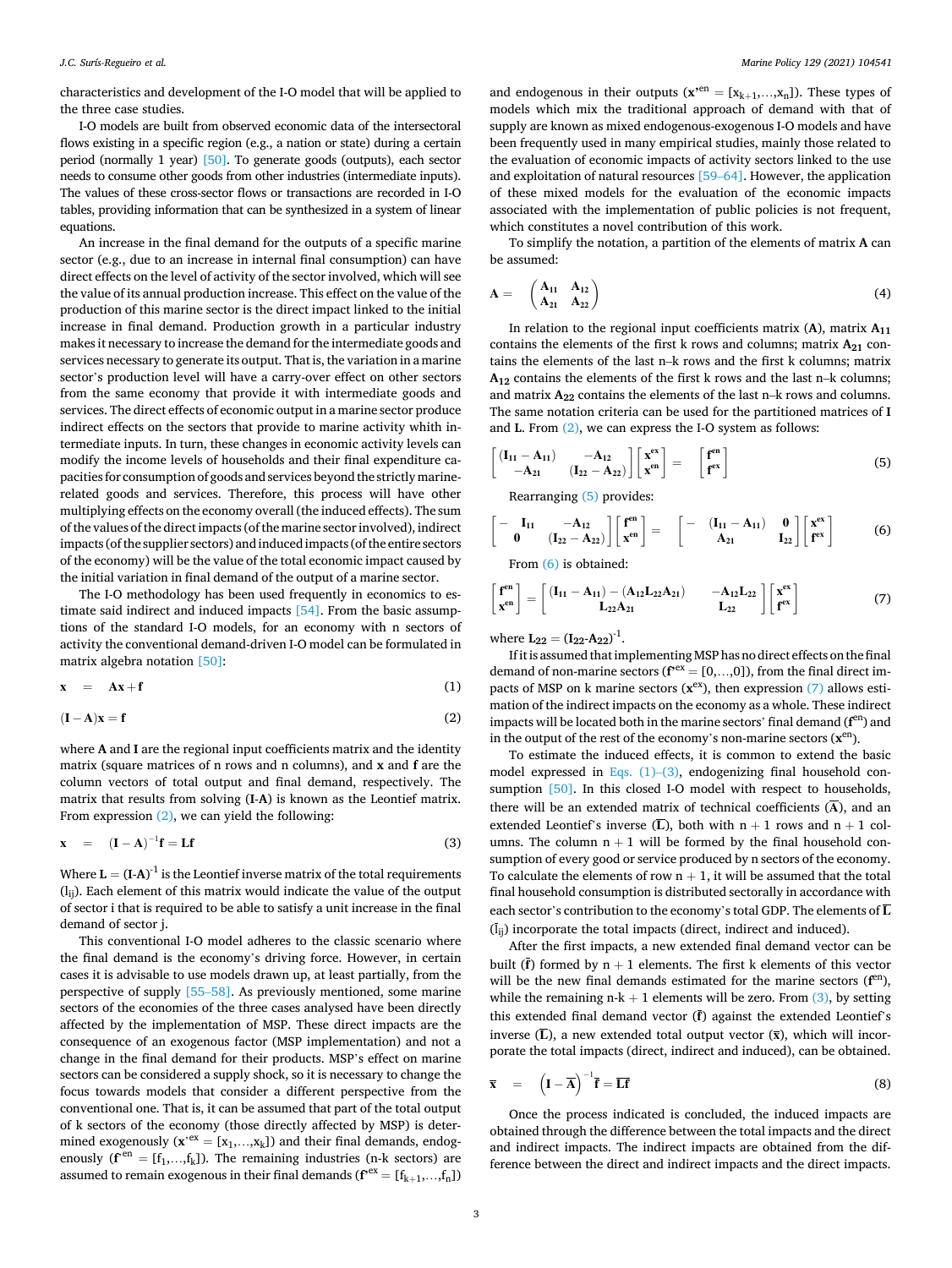<span id="page-2-0"></span>characteristics and development of the I-O model that will be applied to the three case studies.

I-O models are built from observed economic data of the intersectoral flows existing in a specific region (e.g., a nation or state) during a certain period (normally 1 year) [\[50\].](#page-19-0) To generate goods (outputs), each sector needs to consume other goods from other industries (intermediate inputs). The values of these cross-sector flows or transactions are recorded in I-O tables, providing information that can be synthesized in a system of linear equations.

An increase in the final demand for the outputs of a specific marine sector (e.g., due to an increase in internal final consumption) can have direct effects on the level of activity of the sector involved, which will see the value of its annual production increase. This effect on the value of the production of this marine sector is the direct impact linked to the initial increase in final demand. Production growth in a particular industry makes it necessary to increase the demand for the intermediate goods and services necessary to generate its output. That is, the variation in a marine sector's production level will have a carry-over effect on other sectors from the same economy that provide it with intermediate goods and services. The direct effects of economic output in a marine sector produce indirect effects on the sectors that provide to marine activity whith intermediate inputs. In turn, these changes in economic activity levels can modify the income levels of households and their final expenditure capacities for consumption of goods and services beyond the strictly marinerelated goods and services. Therefore, this process will have other multiplying effects on the economy overall (the induced effects). The sum of the values of the direct impacts (of the marine sector involved), indirect impacts (of the supplier sectors) and induced impacts (of the entire sectors of the economy) will be the value of the total economic impact caused by the initial variation in final demand of the output of a marine sector.

The I-O methodology has been used frequently in economics to estimate said indirect and induced impacts [\[54\]](#page-19-0). From the basic assumptions of the standard I-O models, for an economy with n sectors of activity the conventional demand-driven I-O model can be formulated in matrix algebra notation [\[50\]](#page-19-0):

$$
x = Ax + f \tag{1}
$$

$$
(\mathbf{I} - \mathbf{A})\mathbf{x} = \mathbf{f} \tag{2}
$$

where **A** and **I** are the regional input coefficients matrix and the identity matrix (square matrices of n rows and n columns), and **x** and **f** are the column vectors of total output and final demand, respectively. The matrix that results from solving (**I**-**A**) is known as the Leontief matrix. From expression (2), we can yield the following:

$$
\mathbf{x} = (\mathbf{I} - \mathbf{A})^{-1} \mathbf{f} = \mathbf{L} \mathbf{f}
$$
 (3)

Where  $L = (I-A)^{-1}$  is the Leontief inverse matrix of the total requirements (lij). Each element of this matrix would indicate the value of the output of sector i that is required to be able to satisfy a unit increase in the final demand of sector j.

This conventional I-O model adheres to the classic scenario where the final demand is the economy's driving force. However, in certain cases it is advisable to use models drawn up, at least partially, from the perspective of supply [55–[58\].](#page-19-0) As previously mentioned, some marine sectors of the economies of the three cases analysed have been directly affected by the implementation of MSP. These direct impacts are the consequence of an exogenous factor (MSP implementation) and not a change in the final demand for their products. MSP's effect on marine sectors can be considered a supply shock, so it is necessary to change the focus towards models that consider a different perspective from the conventional one. That is, it can be assumed that part of the total output of k sectors of the economy (those directly affected by MSP) is determined exogenously  $(x^{,ex} = [x_1,...,x_k])$  and their final demands, endogenously  $(f^{en} = [f_1, ..., f_k])$ . The remaining industries (n-k sectors) are assumed to remain exogenous in their final demands  $(\mathbf{f}^{\text{tex}} = [f_{k+1},...,f_n])$ 

and endogenous in their outputs  $(x^{en} = [x_{k+1},...,x_n])$ . These types of models which mix the traditional approach of demand with that of supply are known as mixed endogenous-exogenous I-O models and have been frequently used in many empirical studies, mainly those related to the evaluation of economic impacts of activity sectors linked to the use and exploitation of natural resources [59–[64\]](#page-19-0). However, the application of these mixed models for the evaluation of the economic impacts associated with the implementation of public policies is not frequent, which constitutes a novel contribution of this work.

To simplify the notation, a partition of the elements of matrix **A** can be assumed:

$$
\mathbf{A} = \begin{pmatrix} \mathbf{A}_{11} & \mathbf{A}_{12} \\ \mathbf{A}_{21} & \mathbf{A}_{22} \end{pmatrix}
$$
 (4)

In relation to the regional input coefficients matrix (**A**), matrix **A11**  contains the elements of the first k rows and columns; matrix  $A_{21}$  contains the elements of the last n–k rows and the first k columns; matrix **A12** contains the elements of the first k rows and the last n–k columns; and matrix **A22** contains the elements of the last n–k rows and columns. The same notation criteria can be used for the partitioned matrices of **I**  and **L**. From (2), we can express the I-O system as follows:

$$
\begin{bmatrix}\n(I_{11}-A_{11}) & -A_{12} \\
-A_{21} & (I_{22}-A_{22})\n\end{bmatrix}\n\begin{bmatrix}\nx^{\rm ex} \\
x^{\rm en}\n\end{bmatrix} = \begin{bmatrix}\nf^{\rm en} \\
f^{\rm ex}\n\end{bmatrix}
$$
\n(5)

Rearranging (5) provides:

$$
\begin{bmatrix} - & \mathbf{I}_{11} & -\mathbf{A}_{12} \\ \mathbf{0} & (\mathbf{I}_{22} - \mathbf{A}_{22}) \end{bmatrix} \begin{bmatrix} \mathbf{f}^{en} \\ \mathbf{x}^{en} \end{bmatrix} = \begin{bmatrix} - & (\mathbf{I}_{11} - \mathbf{A}_{11}) & \mathbf{0} \\ \mathbf{A}_{21} & \mathbf{I}_{22} \end{bmatrix} \begin{bmatrix} \mathbf{x}^{ex} \\ \mathbf{f}^{ex} \end{bmatrix} \tag{6}
$$

From (6) is obtained:

$$
\begin{bmatrix} f^{en} \\ x^{en} \end{bmatrix} = \begin{bmatrix} (I_{11} - A_{11}) - (A_{12}L_{22}A_{21}) & -A_{12}L_{22} \\ L_{22}A_{21} & L_{22} \end{bmatrix} \begin{bmatrix} x^{ex} \\ f^{ex} \end{bmatrix}
$$
(7)

where  $L_{22} = (I_{22} - A_{22})^{-1}$ .

If it is assumed that implementing MSP has no direct effects on the final demand of non-marine sectors  $(f^{ex} = [0, \ldots, 0])$ , from the final direct impacts of MSP on k marine sectors  $(x^{ex})$ , then expression (7) allows estimation of the indirect impacts on the economy as a whole. These indirect impacts will be located both in the marine sectors' final demand ( $f<sup>en</sup>$ ) and in the output of the rest of the economy's non-marine sectors (**x**en).

To estimate the induced effects, it is common to extend the basic model expressed in Eqs.  $(1)-(3)$ , endogenizing final household con-sumption [\[50\].](#page-19-0) In this closed I-O model with respect to households, there will be an extended matrix of technical coefficients  $(\overline{A})$ , and an extended Leontief's inverse  $(\overline{L})$ , both with  $n + 1$  rows and  $n + 1$  columns. The column  $n + 1$  will be formed by the final household consumption of every good or service produced by n sectors of the economy. To calculate the elements of row  $n + 1$ , it will be assumed that the total final household consumption is distributed sectorally in accordance with each sector's contribution to the economy's total GDP. The elements of  $\overline{L}$  $(\bar{l}_{ii})$  incorporate the total impacts (direct, indirect and induced).

After the first impacts, a new extended final demand vector can be built  $(\bar{f})$  formed by  $n + 1$  elements. The first k elements of this vector will be the new final demands estimated for the marine sectors ( $f<sup>en</sup>$ ), while the remaining  $n-k + 1$  elements will be zero. From  $(3)$ , by setting this extended final demand vector (**f**) against the extended Leontief's inverse  $(\overline{L})$ , a new extended total output vector  $(\overline{x})$ , which will incorporate the total impacts (direct, indirect and induced), can be obtained.

$$
\overline{\mathbf{x}} = \left(\mathbf{I} - \overline{\mathbf{A}}\right)^{-1} \overline{\mathbf{f}} = \overline{\mathbf{L}\mathbf{f}}
$$
 (8)

Once the process indicated is concluded, the induced impacts are obtained through the difference between the total impacts and the direct and indirect impacts. The indirect impacts are obtained from the difference between the direct and indirect impacts and the direct impacts.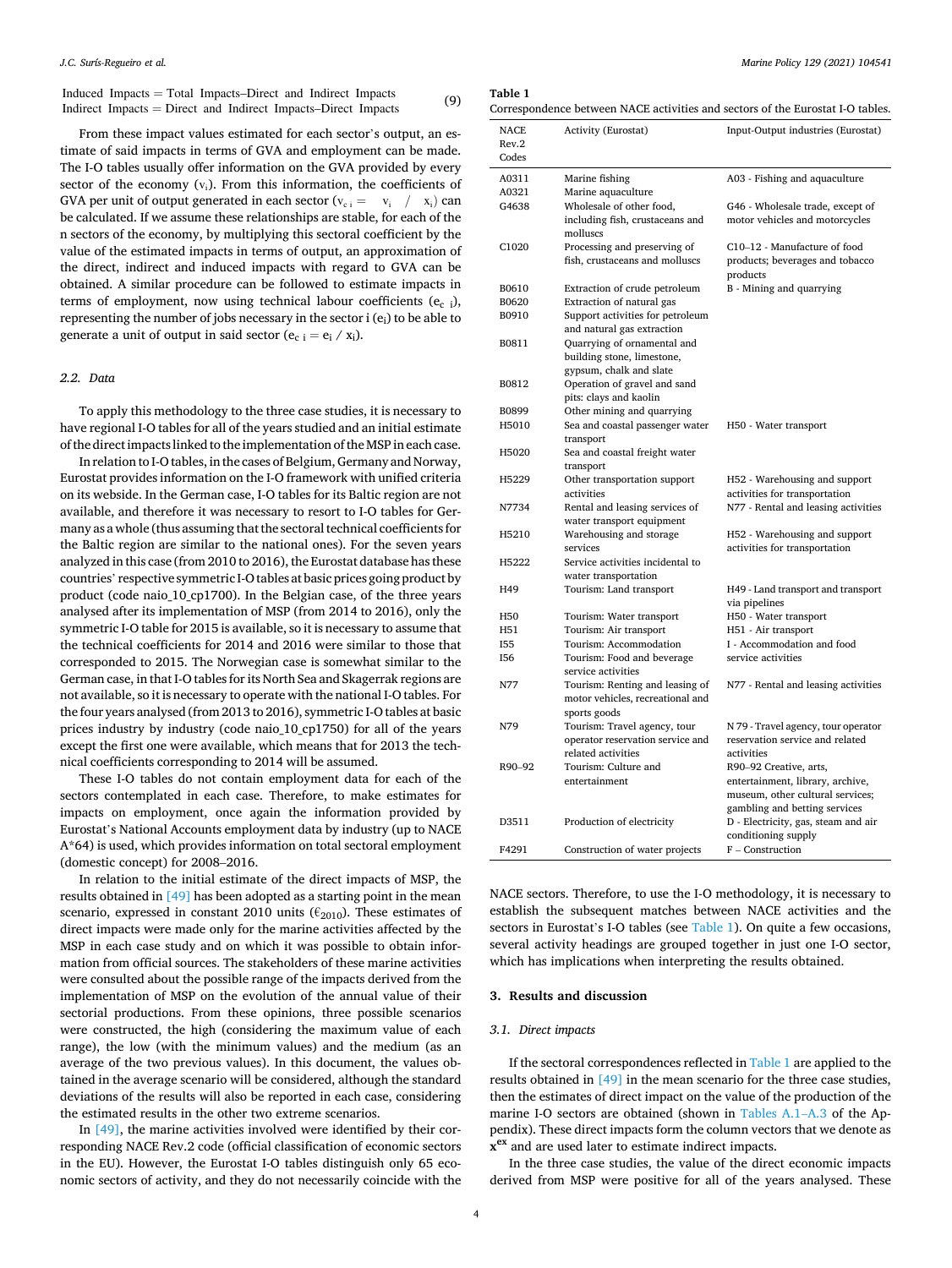<span id="page-3-0"></span>Induced Impacts = Total Impacts–Direct and Indirect Impacts Indirect Impacts <sup>=</sup> Direct and Indirect Impacts–Direct Impacts (9)

From these impact values estimated for each sector's output, an estimate of said impacts in terms of GVA and employment can be made. The I-O tables usually offer information on the GVA provided by every sector of the economy  $(v_i)$ . From this information, the coefficients of GVA per unit of output generated in each sector  $(v_{ci} = v_i / x_i)$  can be calculated. If we assume these relationships are stable, for each of the n sectors of the economy, by multiplying this sectoral coefficient by the value of the estimated impacts in terms of output, an approximation of the direct, indirect and induced impacts with regard to GVA can be obtained. A similar procedure can be followed to estimate impacts in terms of employment, now using technical labour coefficients  $(e_{c,i})$ , representing the number of jobs necessary in the sector i (e<sub>i</sub>) to be able to generate a unit of output in said sector ( $e_c$  i =  $e_i$  /  $x_i$ ).

#### *2.2. Data*

To apply this methodology to the three case studies, it is necessary to have regional I-O tables for all of the years studied and an initial estimate of the direct impacts linked to the implementation of the MSP in each case.

In relation to I-O tables, in the cases of Belgium, Germany and Norway, Eurostat provides information on the I-O framework with unified criteria on its webside. In the German case, I-O tables for its Baltic region are not available, and therefore it was necessary to resort to I-O tables for Germany as a whole (thus assuming that the sectoral technical coefficients for the Baltic region are similar to the national ones). For the seven years analyzed in this case (from 2010 to 2016), the Eurostat database has these countries' respective symmetric I-O tables at basic prices going product by product (code naio\_10\_cp1700). In the Belgian case, of the three years analysed after its implementation of MSP (from 2014 to 2016), only the symmetric I-O table for 2015 is available, so it is necessary to assume that the technical coefficients for 2014 and 2016 were similar to those that corresponded to 2015. The Norwegian case is somewhat similar to the German case, in that I-O tables for its North Sea and Skagerrak regions are not available, so it is necessary to operate with the national I-O tables. For the four years analysed (from 2013 to 2016), symmetric I-O tables at basic prices industry by industry (code naio\_10\_cp1750) for all of the years except the first one were available, which means that for 2013 the technical coefficients corresponding to 2014 will be assumed.

These I-O tables do not contain employment data for each of the sectors contemplated in each case. Therefore, to make estimates for impacts on employment, once again the information provided by Eurostat's National Accounts employment data by industry (up to NACE A\*64) is used, which provides information on total sectoral employment (domestic concept) for 2008–2016.

In relation to the initial estimate of the direct impacts of MSP, the results obtained in [\[49\]](#page-19-0) has been adopted as a starting point in the mean scenario, expressed in constant 2010 units ( $\epsilon_{2010}$ ). These estimates of direct impacts were made only for the marine activities affected by the MSP in each case study and on which it was possible to obtain information from official sources. The stakeholders of these marine activities were consulted about the possible range of the impacts derived from the implementation of MSP on the evolution of the annual value of their sectorial productions. From these opinions, three possible scenarios were constructed, the high (considering the maximum value of each range), the low (with the minimum values) and the medium (as an average of the two previous values). In this document, the values obtained in the average scenario will be considered, although the standard deviations of the results will also be reported in each case, considering the estimated results in the other two extreme scenarios.

In [\[49\]](#page-19-0), the marine activities involved were identified by their corresponding NACE Rev.2 code (official classification of economic sectors in the EU). However, the Eurostat I-O tables distinguish only 65 economic sectors of activity, and they do not necessarily coincide with the

#### **Table 1**

Correspondence between NACE activities and sectors of the Eurostat I-O tables.

| <b>NACE</b>       | <b>Activity (Eurostat)</b>                                                           | Input-Output industries (Eurostat)                                          |
|-------------------|--------------------------------------------------------------------------------------|-----------------------------------------------------------------------------|
| Rev.2<br>Codes    |                                                                                      |                                                                             |
| A0311             | Marine fishing                                                                       | A03 - Fishing and aquaculture                                               |
| A0321             | Marine aquaculture                                                                   |                                                                             |
| G4638             | Wholesale of other food,                                                             | G46 - Wholesale trade, except of                                            |
|                   | including fish, crustaceans and<br>molluscs                                          | motor vehicles and motorcycles                                              |
| C <sub>1020</sub> | Processing and preserving of<br>fish, crustaceans and molluscs                       | C10-12 - Manufacture of food<br>products; beverages and tobacco<br>products |
| B0610             | Extraction of crude petroleum                                                        | B - Mining and quarrying                                                    |
| B0620             | Extraction of natural gas                                                            |                                                                             |
| B0910             | Support activities for petroleum                                                     |                                                                             |
|                   | and natural gas extraction                                                           |                                                                             |
| B0811             | Quarrying of ornamental and<br>building stone, limestone,<br>gypsum, chalk and slate |                                                                             |
| B0812             | Operation of gravel and sand<br>pits: clays and kaolin                               |                                                                             |
| B0899             | Other mining and quarrying                                                           |                                                                             |
| H5010             | Sea and coastal passenger water                                                      | H50 - Water transport                                                       |
|                   | transport                                                                            |                                                                             |
| H5020             | Sea and coastal freight water                                                        |                                                                             |
|                   | transport                                                                            |                                                                             |
| H5229             | Other transportation support                                                         | H52 - Warehousing and support                                               |
|                   | activities                                                                           | activities for transportation                                               |
| N7734             | Rental and leasing services of                                                       | N77 - Rental and leasing activities                                         |
|                   | water transport equipment                                                            |                                                                             |
| H5210             | Warehousing and storage                                                              |                                                                             |
|                   | services                                                                             | H52 - Warehousing and support<br>activities for transportation              |
| H5222             | Service activities incidental to                                                     |                                                                             |
|                   |                                                                                      |                                                                             |
|                   | water transportation                                                                 |                                                                             |
| H49               | Tourism: Land transport                                                              | H49 - Land transport and transport<br>via pipelines                         |
| H50               | Tourism: Water transport                                                             | H50 - Water transport                                                       |
| H51               | Tourism: Air transport                                                               | H51 - Air transport                                                         |
| <b>I55</b>        | Tourism: Accommodation                                                               | I - Accommodation and food                                                  |
| I56               | Tourism: Food and beverage                                                           | service activities                                                          |
|                   | service activities                                                                   |                                                                             |
| N77               | Tourism: Renting and leasing of                                                      | N77 - Rental and leasing activities                                         |
|                   | motor vehicles, recreational and                                                     |                                                                             |
|                   | sports goods                                                                         |                                                                             |
| N79               | Tourism: Travel agency, tour                                                         | N 79 - Travel agency, tour operator                                         |
|                   | operator reservation service and                                                     | reservation service and related                                             |
|                   | related activities                                                                   | activities                                                                  |
| R90-92            | Tourism: Culture and                                                                 | R90-92 Creative, arts,                                                      |
|                   | entertainment                                                                        | entertainment, library, archive,                                            |
|                   |                                                                                      | museum, other cultural services;                                            |
|                   |                                                                                      | gambling and betting services                                               |
| D3511             | Production of electricity                                                            | D - Electricity, gas, steam and air                                         |
|                   |                                                                                      | conditioning supply                                                         |
| F4291             |                                                                                      | F - Construction                                                            |
|                   | Construction of water projects                                                       |                                                                             |

NACE sectors. Therefore, to use the I-O methodology, it is necessary to establish the subsequent matches between NACE activities and the sectors in Eurostat's I-O tables (see Table 1). On quite a few occasions, several activity headings are grouped together in just one I-O sector, which has implications when interpreting the results obtained.

## **3. Results and discussion**

#### *3.1. Direct impacts*

If the sectoral correspondences reflected in Table 1 are applied to the results obtained in [\[49\]](#page-19-0) in the mean scenario for the three case studies, then the estimates of direct impact on the value of the production of the marine I-O sectors are obtained (shown in [Tables A.1](#page-7-0)–A.3 of the Appendix). These direct impacts form the column vectors that we denote as **xex** and are used later to estimate indirect impacts.

In the three case studies, the value of the direct economic impacts derived from MSP were positive for all of the years analysed. These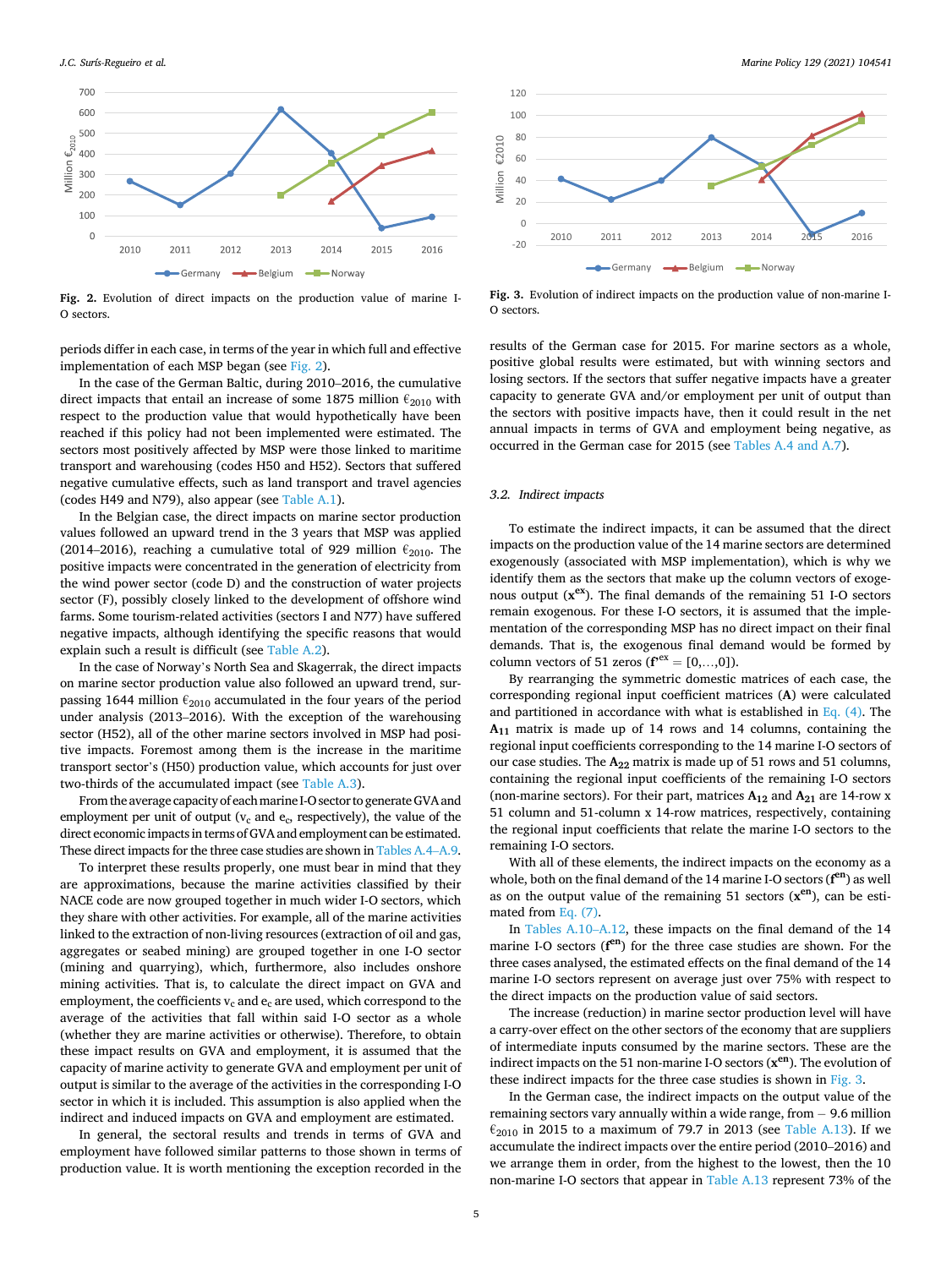

**Fig. 2.** Evolution of direct impacts on the production value of marine I-O sectors.

periods differ in each case, in terms of the year in which full and effective implementation of each MSP began (see Fig. 2).

In the case of the German Baltic, during 2010–2016, the cumulative direct impacts that entail an increase of some 1875 million  $\epsilon_{2010}$  with respect to the production value that would hypothetically have been reached if this policy had not been implemented were estimated. The sectors most positively affected by MSP were those linked to maritime transport and warehousing (codes H50 and H52). Sectors that suffered negative cumulative effects, such as land transport and travel agencies (codes H49 and N79), also appear (see [Table A.1\)](#page-7-0).

In the Belgian case, the direct impacts on marine sector production values followed an upward trend in the 3 years that MSP was applied (2014–2016), reaching a cumulative total of 929 million  $\epsilon_{2010}$ . The positive impacts were concentrated in the generation of electricity from the wind power sector (code D) and the construction of water projects sector (F), possibly closely linked to the development of offshore wind farms. Some tourism-related activities (sectors I and N77) have suffered negative impacts, although identifying the specific reasons that would explain such a result is difficult (see [Table A.2](#page-7-0)).

In the case of Norway's North Sea and Skagerrak, the direct impacts on marine sector production value also followed an upward trend, surpassing 1644 million  $\epsilon_{2010}$  accumulated in the four years of the period under analysis (2013–2016). With the exception of the warehousing sector (H52), all of the other marine sectors involved in MSP had positive impacts. Foremost among them is the increase in the maritime transport sector's (H50) production value, which accounts for just over two-thirds of the accumulated impact (see [Table A.3](#page-7-0)).

From the average capacity of each marine I-O sector to generate GVA and employment per unit of output ( $v_c$  and  $e_c$ , respectively), the value of the direct economic impacts in terms of GVA and employment can be estimated. These direct impacts for the three case studies are shown in [Tables A.4](#page-7-0)–A.9.

To interpret these results properly, one must bear in mind that they are approximations, because the marine activities classified by their NACE code are now grouped together in much wider I-O sectors, which they share with other activities. For example, all of the marine activities linked to the extraction of non-living resources (extraction of oil and gas, aggregates or seabed mining) are grouped together in one I-O sector (mining and quarrying), which, furthermore, also includes onshore mining activities. That is, to calculate the direct impact on GVA and employment, the coefficients  $v_c$  and  $e_c$  are used, which correspond to the average of the activities that fall within said I-O sector as a whole (whether they are marine activities or otherwise). Therefore, to obtain these impact results on GVA and employment, it is assumed that the capacity of marine activity to generate GVA and employment per unit of output is similar to the average of the activities in the corresponding I-O sector in which it is included. This assumption is also applied when the indirect and induced impacts on GVA and employment are estimated.

In general, the sectoral results and trends in terms of GVA and employment have followed similar patterns to those shown in terms of production value. It is worth mentioning the exception recorded in the



**Fig. 3.** Evolution of indirect impacts on the production value of non-marine I-O sectors.

results of the German case for 2015. For marine sectors as a whole, positive global results were estimated, but with winning sectors and losing sectors. If the sectors that suffer negative impacts have a greater capacity to generate GVA and/or employment per unit of output than the sectors with positive impacts have, then it could result in the net annual impacts in terms of GVA and employment being negative, as occurred in the German case for 2015 (see [Tables A.4 and A.7\)](#page-7-0).

#### *3.2. Indirect impacts*

To estimate the indirect impacts, it can be assumed that the direct impacts on the production value of the 14 marine sectors are determined exogenously (associated with MSP implementation), which is why we identify them as the sectors that make up the column vectors of exogenous output (**xex**). The final demands of the remaining 51 I-O sectors remain exogenous. For these I-O sectors, it is assumed that the implementation of the corresponding MSP has no direct impact on their final demands. That is, the exogenous final demand would be formed by column vectors of 51 zeros  $(f^{ex} = [0, ..., 0]).$ 

By rearranging the symmetric domestic matrices of each case, the corresponding regional input coefficient matrices (**A**) were calculated and partitioned in accordance with what is established in [Eq. \(4\)](#page-2-0). The **A11** matrix is made up of 14 rows and 14 columns, containing the regional input coefficients corresponding to the 14 marine I-O sectors of our case studies. The A<sub>22</sub> matrix is made up of 51 rows and 51 columns, containing the regional input coefficients of the remaining I-O sectors (non-marine sectors). For their part, matrices **A12** and **A21** are 14-row x 51 column and 51-column x 14-row matrices, respectively, containing the regional input coefficients that relate the marine I-O sectors to the remaining I-O sectors.

With all of these elements, the indirect impacts on the economy as a whole, both on the final demand of the 14 marine I-O sectors (**f en**) as well as on the output value of the remaining 51 sectors  $(x<sup>en</sup>)$ , can be estimated from [Eq. \(7\)](#page-2-0).

In [Tables A.10](#page-7-0)–A.12, these impacts on the final demand of the 14 marine I-O sectors (**f en**) for the three case studies are shown. For the three cases analysed, the estimated effects on the final demand of the 14 marine I-O sectors represent on average just over 75% with respect to the direct impacts on the production value of said sectors.

The increase (reduction) in marine sector production level will have a carry-over effect on the other sectors of the economy that are suppliers of intermediate inputs consumed by the marine sectors. These are the indirect impacts on the 51 non-marine I-O sectors (**xen**). The evolution of these indirect impacts for the three case studies is shown in Fig. 3.

In the German case, the indirect impacts on the output value of the remaining sectors vary annually within a wide range, from − 9.6 million  $\epsilon_{2010}$  in 2015 to a maximum of 79.7 in 2013 (see [Table A.13\)](#page-7-0). If we accumulate the indirect impacts over the entire period (2010–2016) and we arrange them in order, from the highest to the lowest, then the 10 non-marine I-O sectors that appear in [Table A.13](#page-7-0) represent 73% of the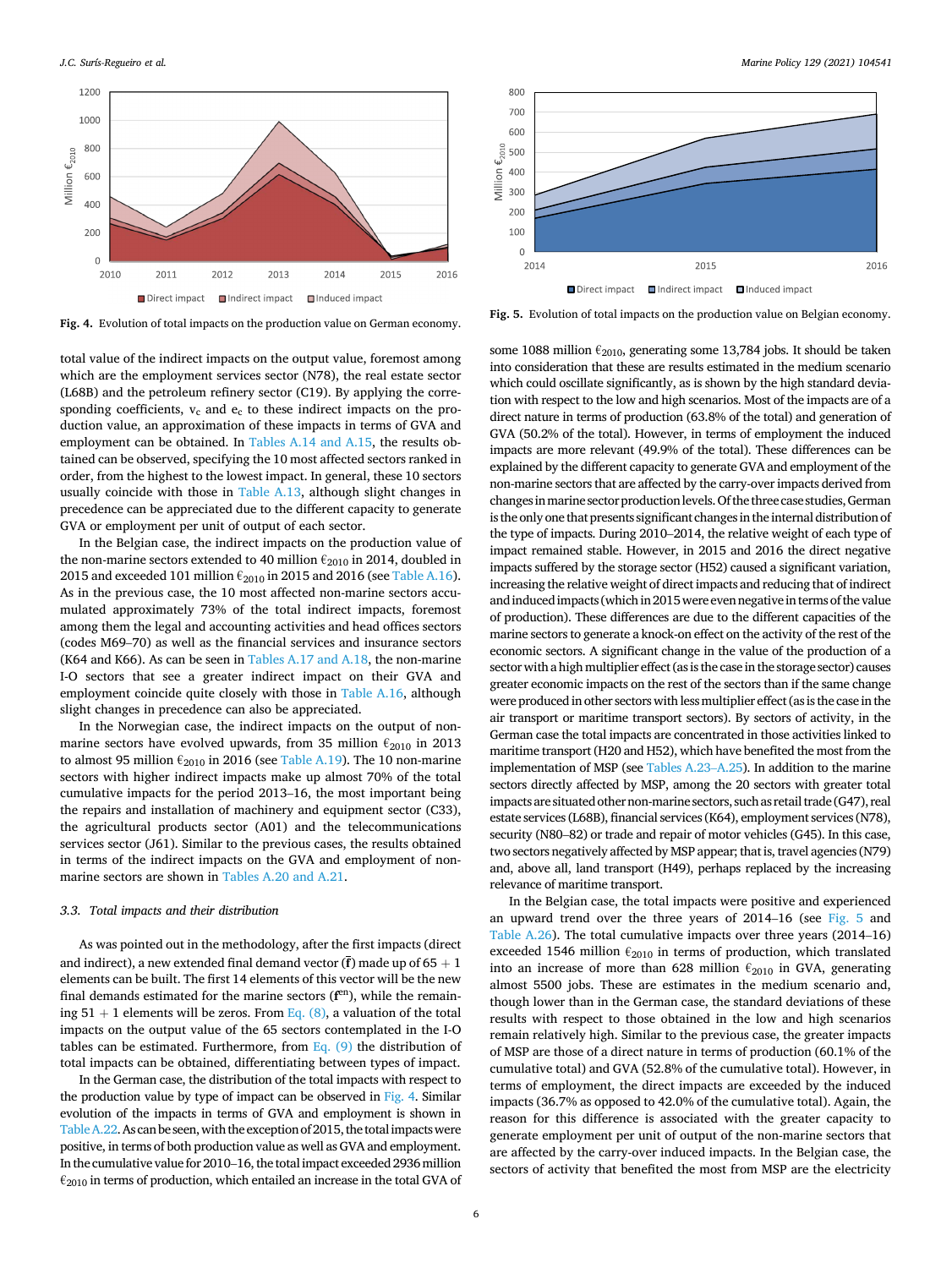

**Fig. 4.** Evolution of total impacts on the production value on German economy.

total value of the indirect impacts on the output value, foremost among which are the employment services sector (N78), the real estate sector (L68B) and the petroleum refinery sector (C19). By applying the corresponding coefficients,  $v_c$  and  $e_c$  to these indirect impacts on the production value, an approximation of these impacts in terms of GVA and employment can be obtained. In [Tables A.14 and A.15,](#page-7-0) the results obtained can be observed, specifying the 10 most affected sectors ranked in order, from the highest to the lowest impact. In general, these 10 sectors usually coincide with those in [Table A.13](#page-7-0), although slight changes in precedence can be appreciated due to the different capacity to generate GVA or employment per unit of output of each sector.

In the Belgian case, the indirect impacts on the production value of the non-marine sectors extended to 40 million  $\epsilon_{2010}$  in 2014, doubled in 2015 and exceeded 101 million  $\epsilon_{2010}$  in 2015 and 2016 (see [Table A.16](#page-7-0)). As in the previous case, the 10 most affected non-marine sectors accumulated approximately 73% of the total indirect impacts, foremost among them the legal and accounting activities and head offices sectors (codes M69–70) as well as the financial services and insurance sectors (K64 and K66). As can be seen in [Tables A.17 and A.18](#page-7-0), the non-marine I-O sectors that see a greater indirect impact on their GVA and employment coincide quite closely with those in [Table A.16](#page-7-0), although slight changes in precedence can also be appreciated.

In the Norwegian case, the indirect impacts on the output of nonmarine sectors have evolved upwards, from 35 million  $\epsilon_{2010}$  in 2013 to almost 95 million  $\epsilon_{2010}$  in 2016 (see [Table A.19](#page-7-0)). The 10 non-marine sectors with higher indirect impacts make up almost 70% of the total cumulative impacts for the period 2013–16, the most important being the repairs and installation of machinery and equipment sector (C33), the agricultural products sector (A01) and the telecommunications services sector (J61). Similar to the previous cases, the results obtained in terms of the indirect impacts on the GVA and employment of nonmarine sectors are shown in [Tables A.20 and A.21](#page-7-0).

#### *3.3. Total impacts and their distribution*

As was pointed out in the methodology, after the first impacts (direct and indirect), a new extended final demand vector  $(\bar{f})$  made up of 65  $+$  1 elements can be built. The first 14 elements of this vector will be the new final demands estimated for the marine sectors ( $f<sup>en</sup>$ ), while the remaining  $51 + 1$  elements will be zeros. From [Eq. \(8\),](#page-2-0) a valuation of the total impacts on the output value of the 65 sectors contemplated in the I-O tables can be estimated. Furthermore, from  $Eq. (9)$  the distribution of total impacts can be obtained, differentiating between types of impact.

In the German case, the distribution of the total impacts with respect to the production value by type of impact can be observed in Fig. 4. Similar evolution of the impacts in terms of GVA and employment is shown in [Table A.22](#page-7-0). As can be seen, with the exception of 2015, the total impacts were positive, in terms of both production value as well as GVA and employment. In the cumulative value for 2010–16, the total impact exceeded 2936 million  $\epsilon_{2010}$  in terms of production, which entailed an increase in the total GVA of



**Fig. 5.** Evolution of total impacts on the production value on Belgian economy.

some 1088 million  $\epsilon_{2010}$ , generating some 13,784 jobs. It should be taken into consideration that these are results estimated in the medium scenario which could oscillate significantly, as is shown by the high standard deviation with respect to the low and high scenarios. Most of the impacts are of a direct nature in terms of production (63.8% of the total) and generation of GVA (50.2% of the total). However, in terms of employment the induced impacts are more relevant (49.9% of the total). These differences can be explained by the different capacity to generate GVA and employment of the non-marine sectors that are affected by the carry-over impacts derived from changes in marine sector production levels. Of the three case studies, German is the only one that presents significant changes in the internal distribution of the type of impacts. During 2010–2014, the relative weight of each type of impact remained stable. However, in 2015 and 2016 the direct negative impacts suffered by the storage sector (H52) caused a significant variation, increasing the relative weight of direct impacts and reducing that of indirect and induced impacts (which in 2015 were even negative in terms of the value of production). These differences are due to the different capacities of the marine sectors to generate a knock-on effect on the activity of the rest of the economic sectors. A significant change in the value of the production of a sector with a high multiplier effect (as is the case in the storage sector) causes greater economic impacts on the rest of the sectors than if the same change were produced in other sectors with less multiplier effect (as is the case in the air transport or maritime transport sectors). By sectors of activity, in the German case the total impacts are concentrated in those activities linked to maritime transport (H20 and H52), which have benefited the most from the implementation of MSP (see [Tables A.23](#page-7-0)–A.25). In addition to the marine sectors directly affected by MSP, among the 20 sectors with greater total impacts are situated other non-marine sectors, such as retail trade (G47), real estate services (L68B), financial services (K64), employment services (N78), security (N80–82) or trade and repair of motor vehicles (G45). In this case, two sectors negatively affected by MSP appear; that is, travel agencies (N79) and, above all, land transport (H49), perhaps replaced by the increasing relevance of maritime transport.

In the Belgian case, the total impacts were positive and experienced an upward trend over the three years of 2014–16 (see Fig. 5 and [Table A.26](#page-7-0)). The total cumulative impacts over three years (2014–16) exceeded 1546 million  $\epsilon_{2010}$  in terms of production, which translated into an increase of more than 628 million  $\epsilon_{2010}$  in GVA, generating almost 5500 jobs. These are estimates in the medium scenario and, though lower than in the German case, the standard deviations of these results with respect to those obtained in the low and high scenarios remain relatively high. Similar to the previous case, the greater impacts of MSP are those of a direct nature in terms of production (60.1% of the cumulative total) and GVA (52.8% of the cumulative total). However, in terms of employment, the direct impacts are exceeded by the induced impacts (36.7% as opposed to 42.0% of the cumulative total). Again, the reason for this difference is associated with the greater capacity to generate employment per unit of output of the non-marine sectors that are affected by the carry-over induced impacts. In the Belgian case, the sectors of activity that benefited the most from MSP are the electricity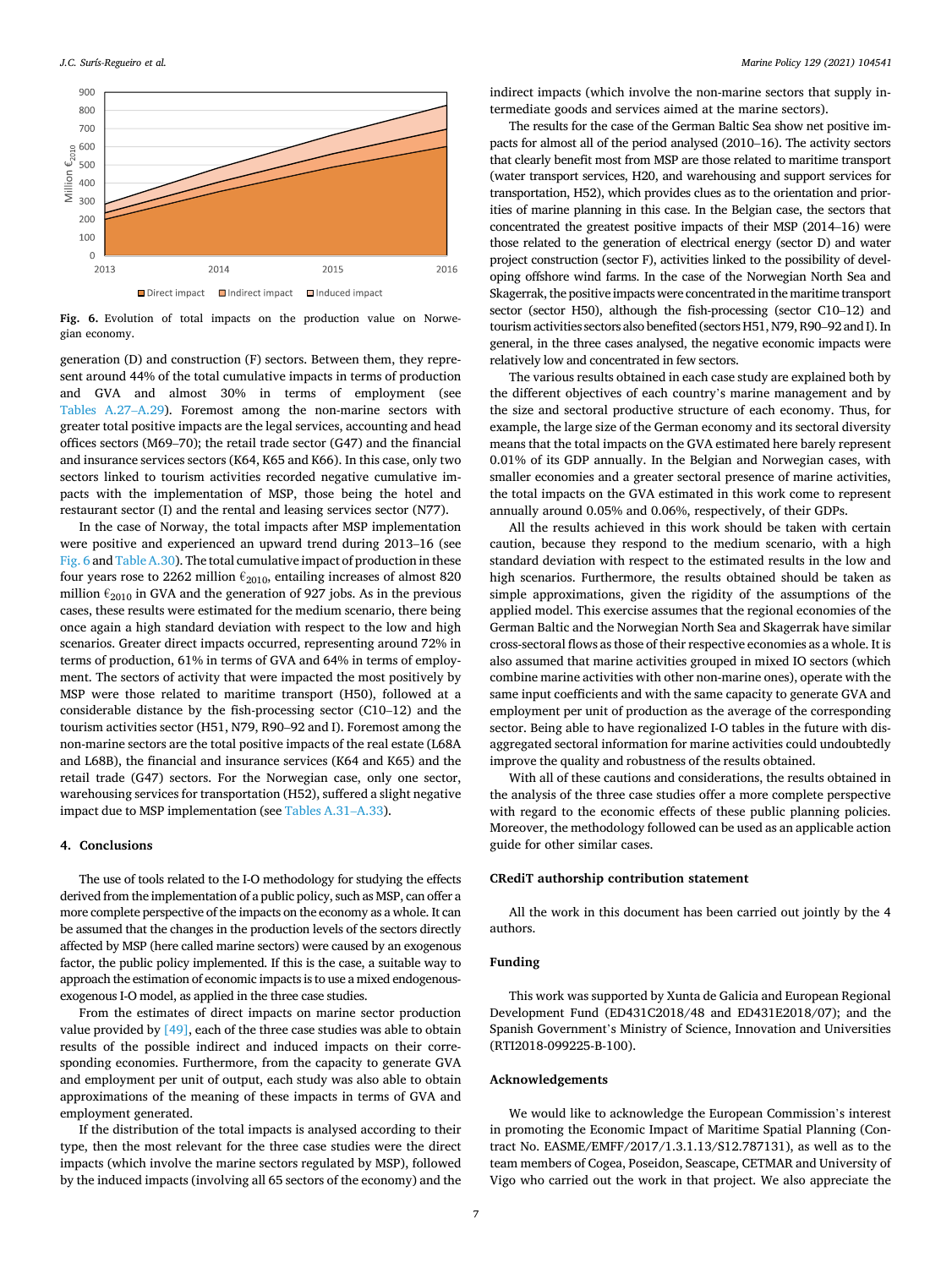

**Fig. 6.** Evolution of total impacts on the production value on Norwegian economy.

generation (D) and construction (F) sectors. Between them, they represent around 44% of the total cumulative impacts in terms of production and GVA and almost 30% in terms of employment (see [Tables A.27](#page-7-0)–A.29). Foremost among the non-marine sectors with greater total positive impacts are the legal services, accounting and head offices sectors (M69–70); the retail trade sector (G47) and the financial and insurance services sectors (K64, K65 and K66). In this case, only two sectors linked to tourism activities recorded negative cumulative impacts with the implementation of MSP, those being the hotel and restaurant sector (I) and the rental and leasing services sector (N77).

In the case of Norway, the total impacts after MSP implementation were positive and experienced an upward trend during 2013–16 (see Fig. 6 and [Table A.30\)](#page-7-0). The total cumulative impact of production in these four years rose to 2262 million  $\epsilon_{2010}$ , entailing increases of almost 820 million  $\epsilon_{2010}$  in GVA and the generation of 927 jobs. As in the previous cases, these results were estimated for the medium scenario, there being once again a high standard deviation with respect to the low and high scenarios. Greater direct impacts occurred, representing around 72% in terms of production, 61% in terms of GVA and 64% in terms of employment. The sectors of activity that were impacted the most positively by MSP were those related to maritime transport (H50), followed at a considerable distance by the fish-processing sector (C10–12) and the tourism activities sector (H51, N79, R90–92 and I). Foremost among the non-marine sectors are the total positive impacts of the real estate (L68A and L68B), the financial and insurance services (K64 and K65) and the retail trade (G47) sectors. For the Norwegian case, only one sector, warehousing services for transportation (H52), suffered a slight negative impact due to MSP implementation (see [Tables A.31](#page-7-0)–A.33).

#### **4. Conclusions**

The use of tools related to the I-O methodology for studying the effects derived from the implementation of a public policy, such as MSP, can offer a more complete perspective of the impacts on the economy as a whole. It can be assumed that the changes in the production levels of the sectors directly affected by MSP (here called marine sectors) were caused by an exogenous factor, the public policy implemented. If this is the case, a suitable way to approach the estimation of economic impacts is to use a mixed endogenousexogenous I-O model, as applied in the three case studies.

From the estimates of direct impacts on marine sector production value provided by  $[49]$ , each of the three case studies was able to obtain results of the possible indirect and induced impacts on their corresponding economies. Furthermore, from the capacity to generate GVA and employment per unit of output, each study was also able to obtain approximations of the meaning of these impacts in terms of GVA and employment generated.

If the distribution of the total impacts is analysed according to their type, then the most relevant for the three case studies were the direct impacts (which involve the marine sectors regulated by MSP), followed by the induced impacts (involving all 65 sectors of the economy) and the

indirect impacts (which involve the non-marine sectors that supply intermediate goods and services aimed at the marine sectors).

The results for the case of the German Baltic Sea show net positive impacts for almost all of the period analysed (2010–16). The activity sectors that clearly benefit most from MSP are those related to maritime transport (water transport services, H20, and warehousing and support services for transportation, H52), which provides clues as to the orientation and priorities of marine planning in this case. In the Belgian case, the sectors that concentrated the greatest positive impacts of their MSP (2014–16) were those related to the generation of electrical energy (sector D) and water project construction (sector F), activities linked to the possibility of developing offshore wind farms. In the case of the Norwegian North Sea and Skagerrak, the positive impacts were concentrated in the maritime transport sector (sector H50), although the fish-processing (sector C10–12) and tourism activities sectors also benefited (sectors H51, N79, R90–92 and I). In general, in the three cases analysed, the negative economic impacts were relatively low and concentrated in few sectors.

The various results obtained in each case study are explained both by the different objectives of each country's marine management and by the size and sectoral productive structure of each economy. Thus, for example, the large size of the German economy and its sectoral diversity means that the total impacts on the GVA estimated here barely represent 0.01% of its GDP annually. In the Belgian and Norwegian cases, with smaller economies and a greater sectoral presence of marine activities, the total impacts on the GVA estimated in this work come to represent annually around 0.05% and 0.06%, respectively, of their GDPs.

All the results achieved in this work should be taken with certain caution, because they respond to the medium scenario, with a high standard deviation with respect to the estimated results in the low and high scenarios. Furthermore, the results obtained should be taken as simple approximations, given the rigidity of the assumptions of the applied model. This exercise assumes that the regional economies of the German Baltic and the Norwegian North Sea and Skagerrak have similar cross-sectoral flows as those of their respective economies as a whole. It is also assumed that marine activities grouped in mixed IO sectors (which combine marine activities with other non-marine ones), operate with the same input coefficients and with the same capacity to generate GVA and employment per unit of production as the average of the corresponding sector. Being able to have regionalized I-O tables in the future with disaggregated sectoral information for marine activities could undoubtedly improve the quality and robustness of the results obtained.

With all of these cautions and considerations, the results obtained in the analysis of the three case studies offer a more complete perspective with regard to the economic effects of these public planning policies. Moreover, the methodology followed can be used as an applicable action guide for other similar cases.

#### **CRediT authorship contribution statement**

All the work in this document has been carried out jointly by the 4 authors.

#### **Funding**

This work was supported by Xunta de Galicia and European Regional Development Fund (ED431C2018/48 and ED431E2018/07); and the Spanish Government's Ministry of Science, Innovation and Universities (RTI2018-099225-B-100).

#### **Acknowledgements**

We would like to acknowledge the European Commission's interest in promoting the Economic Impact of Maritime Spatial Planning (Contract No. EASME/EMFF/2017/1.3.1.13/S12.787131), as well as to the team members of Cogea, Poseidon, Seascape, CETMAR and University of Vigo who carried out the work in that project. We also appreciate the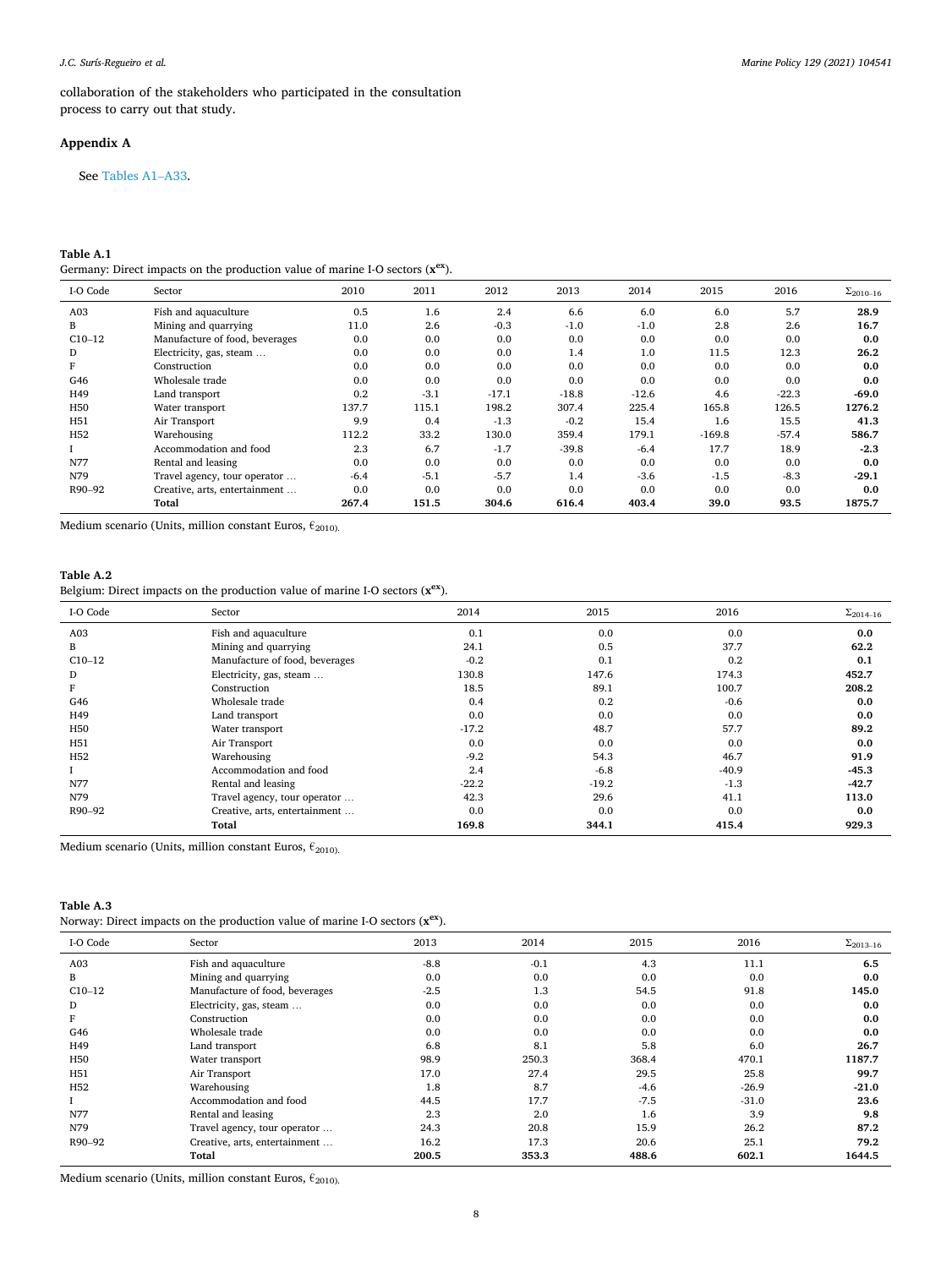<span id="page-7-0"></span>collaboration of the stakeholders who participated in the consultation process to carry out that study.

# **Appendix A**

See Tables A1–A33.

# **Table A.1**

Germany: Direct impacts on the production value of marine I-O sectors (**xex**).

| I-O Code        | Sector                         | 2010   | 2011   | 2012    | 2013    | 2014    | 2015     | 2016    | $\Sigma_{2010-16}$ |
|-----------------|--------------------------------|--------|--------|---------|---------|---------|----------|---------|--------------------|
| A <sub>03</sub> | Fish and aquaculture           | 0.5    | 1.6    | 2.4     | 6.6     | 6.0     | 6.0      | 5.7     | 28.9               |
| B               | Mining and quarrying           | 11.0   | 2.6    | $-0.3$  | $-1.0$  | $-1.0$  | 2.8      | 2.6     | 16.7               |
| $C10-12$        | Manufacture of food, beverages | 0.0    | 0.0    | 0.0     | 0.0     | 0.0     | 0.0      | 0.0     | 0.0                |
| D               | Electricity, gas, steam        | 0.0    | 0.0    | 0.0     | 1.4     | 1.0     | 11.5     | 12.3    | 26.2               |
|                 | Construction                   | 0.0    | 0.0    | 0.0     | 0.0     | 0.0     | 0.0      | 0.0     | 0.0                |
| G46             | Wholesale trade                | 0.0    | 0.0    | 0.0     | 0.0     | 0.0     | 0.0      | 0.0     | 0.0                |
| H49             | Land transport                 | 0.2    | $-3.1$ | $-17.1$ | $-18.8$ | $-12.6$ | 4.6      | $-22.3$ | $-69.0$            |
| H <sub>50</sub> | Water transport                | 137.7  | 115.1  | 198.2   | 307.4   | 225.4   | 165.8    | 126.5   | 1276.2             |
| H51             | Air Transport                  | 9.9    | 0.4    | $-1.3$  | $-0.2$  | 15.4    | 1.6      | 15.5    | 41.3               |
| H <sub>52</sub> | Warehousing                    | 112.2  | 33.2   | 130.0   | 359.4   | 179.1   | $-169.8$ | $-57.4$ | 586.7              |
|                 | Accommodation and food         | 2.3    | 6.7    | $-1.7$  | $-39.8$ | $-6.4$  | 17.7     | 18.9    | $-2.3$             |
| N77             | Rental and leasing             | 0.0    | 0.0    | 0.0     | 0.0     | 0.0     | 0.0      | 0.0     | 0.0                |
| N79             | Travel agency, tour operator   | $-6.4$ | $-5.1$ | $-5.7$  | 1.4     | $-3.6$  | $-1.5$   | $-8.3$  | $-29.1$            |
| R90-92          | Creative, arts, entertainment  | 0.0    | 0.0    | 0.0     | 0.0     | 0.0     | 0.0      | 0.0     | 0.0                |
|                 | Total                          | 267.4  | 151.5  | 304.6   | 616.4   | 403.4   | 39.0     | 93.5    | 1875.7             |

Medium scenario (Units, million constant Euros,  $\epsilon_{2010}$ ).

# **Table A.2**

Belgium: Direct impacts on the production value of marine I-O sectors (**xex**).

| I-O Code        | Sector                         | 2014    | 2015    | 2016    | $\Sigma_{2014-16}$ |
|-----------------|--------------------------------|---------|---------|---------|--------------------|
| A03             | Fish and aquaculture           | 0.1     | 0.0     | 0.0     | 0.0                |
| B               | Mining and quarrying           | 24.1    | 0.5     | 37.7    | 62.2               |
| $C10-12$        | Manufacture of food, beverages | $-0.2$  | 0.1     | 0.2     | 0.1                |
| D               | Electricity, gas, steam        | 130.8   | 147.6   | 174.3   | 452.7              |
| F               | Construction                   | 18.5    | 89.1    | 100.7   | 208.2              |
| G46             | Wholesale trade                | 0.4     | 0.2     | $-0.6$  | 0.0                |
| H49             | Land transport                 | 0.0     | 0.0     | 0.0     | 0.0                |
| H <sub>50</sub> | Water transport                | $-17.2$ | 48.7    | 57.7    | 89.2               |
| H51             | Air Transport                  | 0.0     | 0.0     | 0.0     | 0.0                |
| H <sub>52</sub> | Warehousing                    | $-9.2$  | 54.3    | 46.7    | 91.9               |
|                 | Accommodation and food         | 2.4     | $-6.8$  | $-40.9$ | $-45.3$            |
| N77             | Rental and leasing             | $-22.2$ | $-19.2$ | $-1.3$  | $-42.7$            |
| N79             | Travel agency, tour operator   | 42.3    | 29.6    | 41.1    | 113.0              |
| R90-92          | Creative, arts, entertainment  | 0.0     | 0.0     | 0.0     | 0.0                |
|                 | Total                          | 169.8   | 344.1   | 415.4   | 929.3              |

Medium scenario (Units, million constant Euros,  $\epsilon_{2010}$ ).

|  |  |  | Norway: Direct impacts on the production value of marine I-O sectors $(x^{ex})$ . |  |  |
|--|--|--|-----------------------------------------------------------------------------------|--|--|
|--|--|--|-----------------------------------------------------------------------------------|--|--|

| I-O Code        | Sector                         | 2013   | 2014   | 2015   | 2016    | $\Sigma_{2013-16}$ |
|-----------------|--------------------------------|--------|--------|--------|---------|--------------------|
| A03             | Fish and aquaculture           | $-8.8$ | $-0.1$ | 4.3    | 11.1    | 6.5                |
| B               | Mining and quarrying           | 0.0    | 0.0    | 0.0    | 0.0     | 0.0                |
| $C10-12$        | Manufacture of food, beverages | $-2.5$ | 1.3    | 54.5   | 91.8    | 145.0              |
| D               | Electricity, gas, steam        | 0.0    | 0.0    | 0.0    | 0.0     | 0.0                |
| F               | Construction                   | 0.0    | 0.0    | 0.0    | 0.0     | 0.0                |
| G46             | Wholesale trade                | 0.0    | 0.0    | 0.0    | 0.0     | 0.0                |
| H49             | Land transport                 | 6.8    | 8.1    | 5.8    | 6.0     | 26.7               |
| H50             | Water transport                | 98.9   | 250.3  | 368.4  | 470.1   | 1187.7             |
| H <sub>51</sub> | Air Transport                  | 17.0   | 27.4   | 29.5   | 25.8    | 99.7               |
| H <sub>52</sub> | Warehousing                    | 1.8    | 8.7    | $-4.6$ | $-26.9$ | $-21.0$            |
|                 | Accommodation and food         | 44.5   | 17.7   | $-7.5$ | $-31.0$ | 23.6               |
| N77             | Rental and leasing             | 2.3    | 2.0    | 1.6    | 3.9     | 9.8                |
| N79             | Travel agency, tour operator   | 24.3   | 20.8   | 15.9   | 26.2    | 87.2               |
| R90-92          | Creative, arts, entertainment  | 16.2   | 17.3   | 20.6   | 25.1    | 79.2               |
|                 | Total                          | 200.5  | 353.3  | 488.6  | 602.1   | 1644.5             |

Medium scenario (Units, million constant Euros,  $\epsilon_{2010}$ ).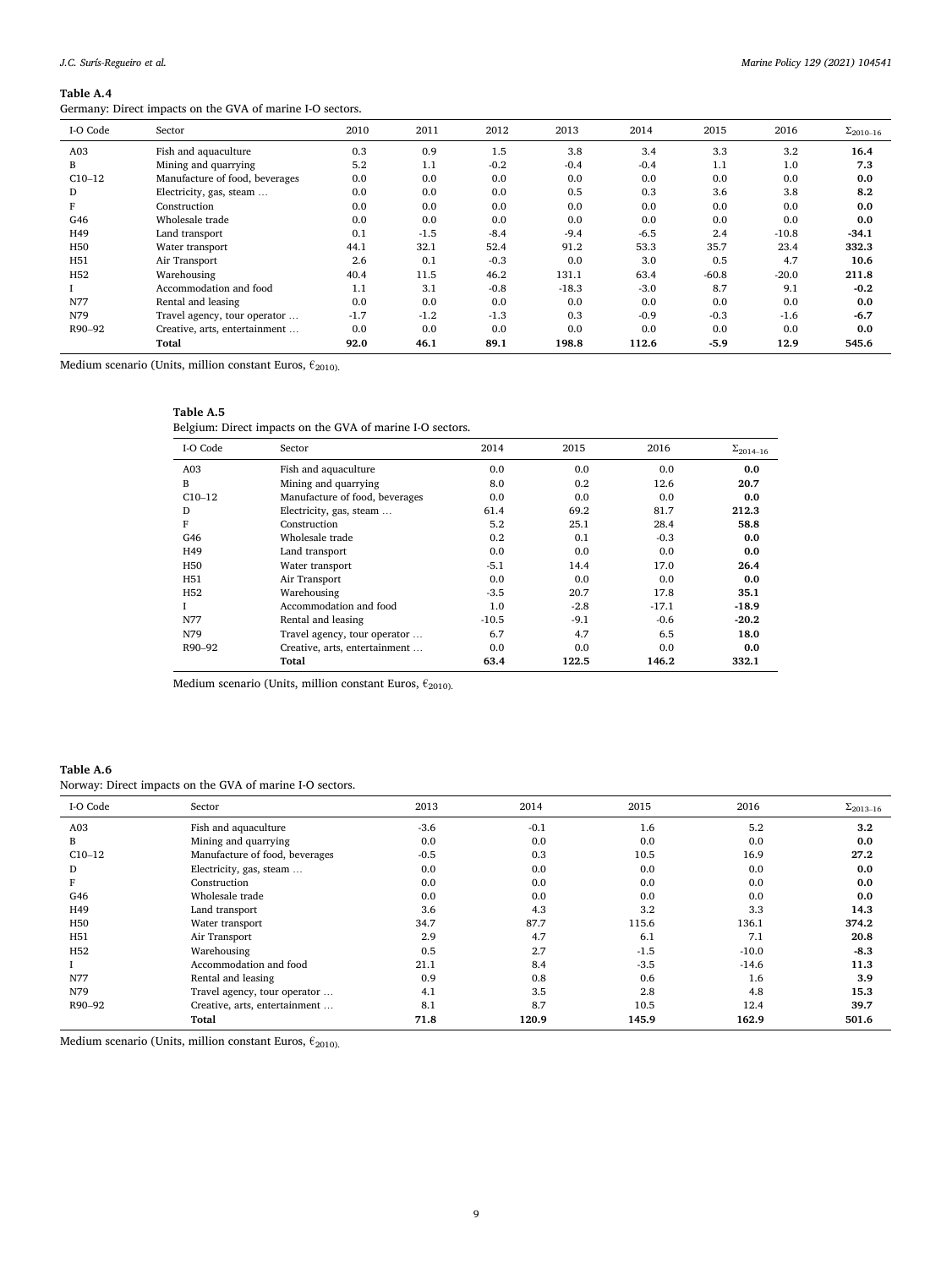Germany: Direct impacts on the GVA of marine I-O sectors.

| I-O Code        | Sector                         | 2010   | 2011   | 2012   | 2013    | 2014   | 2015    | 2016    | $\Sigma_{2010-16}$ |
|-----------------|--------------------------------|--------|--------|--------|---------|--------|---------|---------|--------------------|
| A <sub>03</sub> | Fish and aquaculture           | 0.3    | 0.9    | 1.5    | 3.8     | 3.4    | 3.3     | 3.2     | 16.4               |
| B               | Mining and quarrying           | 5.2    | 1.1    | $-0.2$ | $-0.4$  | $-0.4$ | 1.1     | 1.0     | 7.3                |
| $C10-12$        | Manufacture of food, beverages | 0.0    | 0.0    | 0.0    | 0.0     | 0.0    | 0.0     | 0.0     | 0.0                |
| D               | Electricity, gas, steam        | 0.0    | 0.0    | 0.0    | 0.5     | 0.3    | 3.6     | 3.8     | 8.2                |
|                 | Construction                   | 0.0    | 0.0    | 0.0    | 0.0     | 0.0    | 0.0     | 0.0     | 0.0                |
| G46             | Wholesale trade                | 0.0    | 0.0    | 0.0    | 0.0     | 0.0    | 0.0     | 0.0     | 0.0                |
| H49             | Land transport                 | 0.1    | $-1.5$ | $-8.4$ | $-9.4$  | $-6.5$ | 2.4     | $-10.8$ | $-34.1$            |
| H <sub>50</sub> | Water transport                | 44.1   | 32.1   | 52.4   | 91.2    | 53.3   | 35.7    | 23.4    | 332.3              |
| H51             | Air Transport                  | 2.6    | 0.1    | $-0.3$ | 0.0     | 3.0    | 0.5     | 4.7     | 10.6               |
| H <sub>52</sub> | Warehousing                    | 40.4   | 11.5   | 46.2   | 131.1   | 63.4   | $-60.8$ | $-20.0$ | 211.8              |
|                 | Accommodation and food         | 1.1    | 3.1    | $-0.8$ | $-18.3$ | $-3.0$ | 8.7     | 9.1     | $-0.2$             |
| N77             | Rental and leasing             | 0.0    | 0.0    | 0.0    | 0.0     | 0.0    | 0.0     | 0.0     | 0.0                |
| N79             | Travel agency, tour operator   | $-1.7$ | $-1.2$ | $-1.3$ | 0.3     | $-0.9$ | $-0.3$  | $-1.6$  | $-6.7$             |
| R90-92          | Creative, arts, entertainment  | 0.0    | 0.0    | 0.0    | 0.0     | 0.0    | 0.0     | 0.0     | 0.0                |
|                 | Total                          | 92.0   | 46.1   | 89.1   | 198.8   | 112.6  | $-5.9$  | 12.9    | 545.6              |
|                 |                                |        |        |        |         |        |         |         |                    |

Medium scenario (Units, million constant Euros,  $\epsilon_{2010}$ ).

# **Table A.5**

Belgium: Direct impacts on the GVA of marine I-O sectors.

| I-O Code        | Sector                         | 2014    | 2015   | 2016    | $\Sigma_{2014-16}$ |
|-----------------|--------------------------------|---------|--------|---------|--------------------|
| A <sub>03</sub> | Fish and aquaculture           | 0.0     | 0.0    | 0.0     | 0.0                |
| B               | Mining and quarrying           | 8.0     | 0.2    | 12.6    | 20.7               |
| $C10-12$        | Manufacture of food, beverages | 0.0     | 0.0    | 0.0     | 0.0                |
| D               | Electricity, gas, steam        | 61.4    | 69.2   | 81.7    | 212.3              |
| F               | Construction                   | 5.2     | 25.1   | 28.4    | 58.8               |
| G46             | Wholesale trade                | 0.2     | 0.1    | $-0.3$  | 0.0                |
| H49             | Land transport                 | 0.0     | 0.0    | 0.0     | 0.0                |
| H <sub>50</sub> | Water transport                | $-5.1$  | 14.4   | 17.0    | 26.4               |
| H51             | Air Transport                  | 0.0     | 0.0    | 0.0     | 0.0                |
| H <sub>52</sub> | Warehousing                    | $-3.5$  | 20.7   | 17.8    | 35.1               |
|                 | Accommodation and food         | 1.0     | $-2.8$ | $-17.1$ | $-18.9$            |
| N77             | Rental and leasing             | $-10.5$ | $-9.1$ | $-0.6$  | $-20.2$            |
| N79             | Travel agency, tour operator   | 6.7     | 4.7    | 6.5     | 18.0               |
| R90-92          | Creative, arts, entertainment  | 0.0     | 0.0    | 0.0     | 0.0                |
|                 | Total                          | 63.4    | 122.5  | 146.2   | 332.1              |

Medium scenario (Units, million constant Euros,  $\epsilon_{2010}$ ).

# **Table A.6**

Norway: Direct impacts on the GVA of marine I-O sectors.

| I-O Code        | Sector                         | 2013   | 2014   | 2015   | 2016    | $\Sigma_{2013-16}$ |
|-----------------|--------------------------------|--------|--------|--------|---------|--------------------|
| A03             | Fish and aquaculture           | $-3.6$ | $-0.1$ | 1.6    | 5.2     | 3.2                |
| В               | Mining and quarrying           | 0.0    | 0.0    | 0.0    | 0.0     | 0.0                |
| $C10-12$        | Manufacture of food, beverages | $-0.5$ | 0.3    | 10.5   | 16.9    | 27.2               |
| D               | Electricity, gas, steam        | 0.0    | 0.0    | 0.0    | 0.0     | 0.0                |
| F               | Construction                   | 0.0    | 0.0    | 0.0    | 0.0     | 0.0                |
| G46             | Wholesale trade                | 0.0    | 0.0    | 0.0    | 0.0     | 0.0                |
| H49             | Land transport                 | 3.6    | 4.3    | 3.2    | 3.3     | 14.3               |
| H <sub>50</sub> | Water transport                | 34.7   | 87.7   | 115.6  | 136.1   | 374.2              |
| H <sub>51</sub> | Air Transport                  | 2.9    | 4.7    | 6.1    | 7.1     | 20.8               |
| H <sub>52</sub> | Warehousing                    | 0.5    | 2.7    | $-1.5$ | $-10.0$ | $-8.3$             |
|                 | Accommodation and food         | 21.1   | 8.4    | $-3.5$ | $-14.6$ | 11.3               |
| N77             | Rental and leasing             | 0.9    | 0.8    | 0.6    | 1.6     | 3.9                |
| N79             | Travel agency, tour operator   | 4.1    | 3.5    | 2.8    | 4.8     | 15.3               |
| R90-92          | Creative, arts, entertainment  | 8.1    | 8.7    | 10.5   | 12.4    | 39.7               |
|                 | Total                          | 71.8   | 120.9  | 145.9  | 162.9   | 501.6              |
|                 |                                |        |        |        |         |                    |

Medium scenario (Units, million constant Euros,  $\epsilon_{2010}$ ).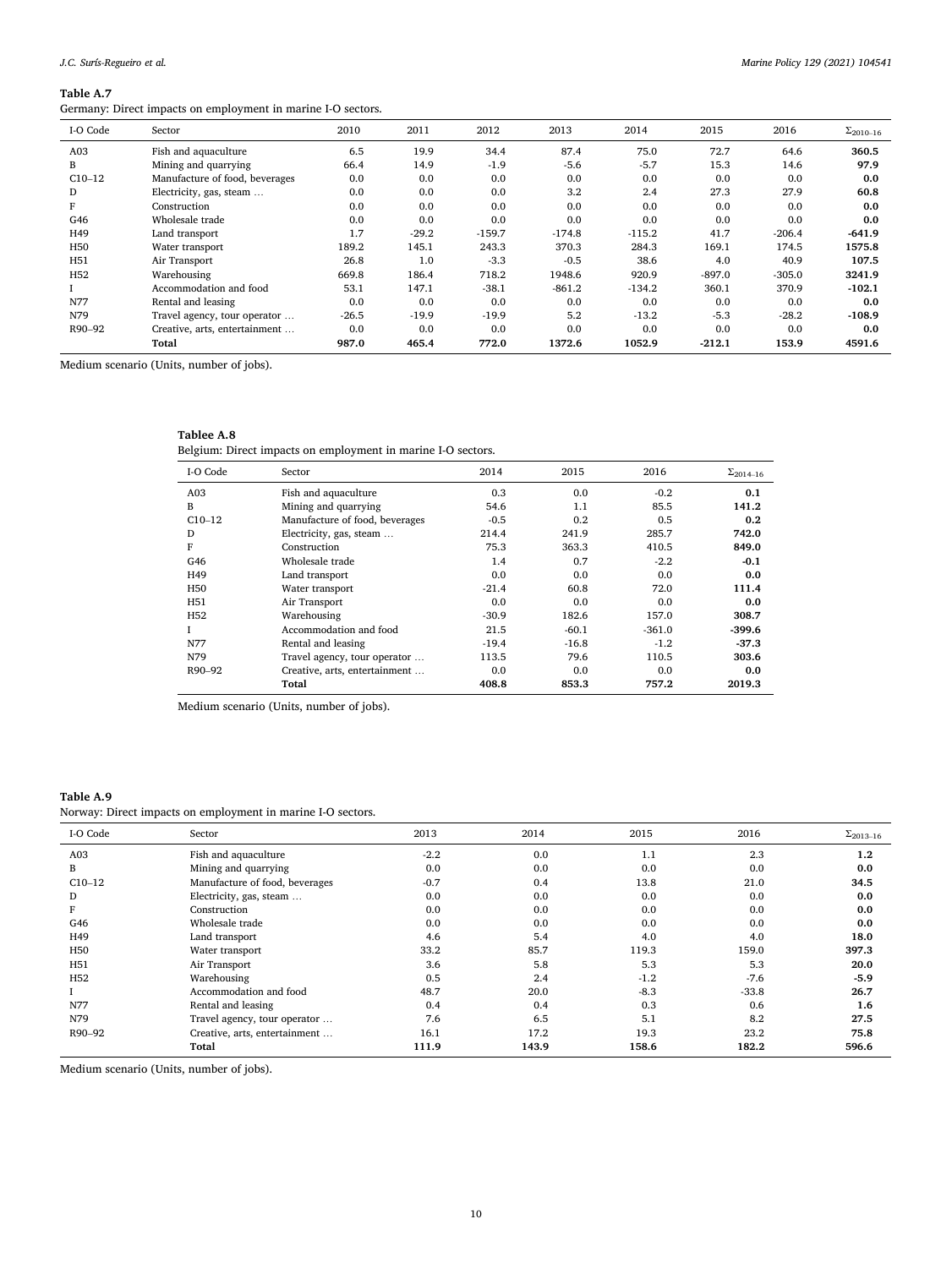Germany: Direct impacts on employment in marine I-O sectors.

| I-O Code        | Sector                         | 2010    | 2011    | 2012     | 2013     | 2014     | 2015     | 2016     | $\Sigma_{2010-16}$ |
|-----------------|--------------------------------|---------|---------|----------|----------|----------|----------|----------|--------------------|
| A <sub>03</sub> | Fish and aquaculture           | 6.5     | 19.9    | 34.4     | 87.4     | 75.0     | 72.7     | 64.6     | 360.5              |
| B               | Mining and quarrying           | 66.4    | 14.9    | $-1.9$   | $-5.6$   | $-5.7$   | 15.3     | 14.6     | 97.9               |
| $C10-12$        | Manufacture of food, beverages | 0.0     | 0.0     | 0.0      | 0.0      | 0.0      | 0.0      | 0.0      | 0.0                |
| D               | Electricity, gas, steam        | 0.0     | 0.0     | 0.0      | 3.2      | 2.4      | 27.3     | 27.9     | 60.8               |
| F               | Construction                   | 0.0     | 0.0     | 0.0      | 0.0      | 0.0      | 0.0      | 0.0      | 0.0                |
| G46             | Wholesale trade                | 0.0     | 0.0     | 0.0      | 0.0      | 0.0      | 0.0      | 0.0      | 0.0                |
| H49             | Land transport                 | 1.7     | $-29.2$ | $-159.7$ | $-174.8$ | $-115.2$ | 41.7     | $-206.4$ | $-641.9$           |
| H50             | Water transport                | 189.2   | 145.1   | 243.3    | 370.3    | 284.3    | 169.1    | 174.5    | 1575.8             |
| H51             | Air Transport                  | 26.8    | 1.0     | $-3.3$   | $-0.5$   | 38.6     | 4.0      | 40.9     | 107.5              |
| H <sub>52</sub> | Warehousing                    | 669.8   | 186.4   | 718.2    | 1948.6   | 920.9    | $-897.0$ | $-305.0$ | 3241.9             |
|                 | Accommodation and food         | 53.1    | 147.1   | $-38.1$  | $-861.2$ | $-134.2$ | 360.1    | 370.9    | $-102.1$           |
| N77             | Rental and leasing             | 0.0     | 0.0     | 0.0      | 0.0      | 0.0      | 0.0      | 0.0      | 0.0                |
| N79             | Travel agency, tour operator   | $-26.5$ | $-19.9$ | $-19.9$  | 5.2      | $-13.2$  | $-5.3$   | $-28.2$  | $-108.9$           |
| R90-92          | Creative, arts, entertainment  | 0.0     | 0.0     | 0.0      | 0.0      | 0.0      | 0.0      | 0.0      | 0.0                |
|                 | Total                          | 987.0   | 465.4   | 772.0    | 1372.6   | 1052.9   | $-212.1$ | 153.9    | 4591.6             |

Medium scenario (Units, number of jobs).

#### **Tablee A.8**

Belgium: Direct impacts on employment in marine I-O sectors.

| I-O Code        | Sector                         | 2014    | 2015    | 2016     | $\Sigma_{2014-16}$ |
|-----------------|--------------------------------|---------|---------|----------|--------------------|
| A <sub>03</sub> | Fish and aquaculture           | 0.3     | 0.0     | $-0.2$   | 0.1                |
| B               | Mining and quarrying           | 54.6    | 1.1     | 85.5     | 141.2              |
| $C10-12$        | Manufacture of food, beverages | $-0.5$  | 0.2     | 0.5      | 0.2                |
| D               | Electricity, gas, steam        | 214.4   | 241.9   | 285.7    | 742.0              |
| F               | Construction                   | 75.3    | 363.3   | 410.5    | 849.0              |
| G46             | Wholesale trade                | 1.4     | 0.7     | $-2.2$   | $-0.1$             |
| H49             | Land transport                 | 0.0     | 0.0     | 0.0      | 0.0                |
| H <sub>50</sub> | Water transport                | $-21.4$ | 60.8    | 72.0     | 111.4              |
| H <sub>51</sub> | Air Transport                  | 0.0     | 0.0     | 0.0      | 0.0                |
| H <sub>52</sub> | Warehousing                    | $-30.9$ | 182.6   | 157.0    | 308.7              |
| L               | Accommodation and food         | 21.5    | $-60.1$ | $-361.0$ | $-399.6$           |
| N77             | Rental and leasing             | $-19.4$ | $-16.8$ | $-1.2$   | $-37.3$            |
| N79             | Travel agency, tour operator   | 113.5   | 79.6    | 110.5    | 303.6              |
| R90-92          | Creative, arts, entertainment  | 0.0     | 0.0     | 0.0      | 0.0                |
|                 | Total                          | 408.8   | 853.3   | 757.2    | 2019.3             |

Medium scenario (Units, number of jobs).

#### **Table A.9**

Norway: Direct impacts on employment in marine I-O sectors.

| I-O Code        | Sector                         | 2013   | 2014  | 2015   | 2016    | $\Sigma_{2013-16}$ |
|-----------------|--------------------------------|--------|-------|--------|---------|--------------------|
| A03             | Fish and aquaculture           | $-2.2$ | 0.0   | 1.1    | 2.3     | 1.2                |
| B               | Mining and quarrying           | 0.0    | 0.0   | 0.0    | 0.0     | 0.0                |
| $C10-12$        | Manufacture of food, beverages | $-0.7$ | 0.4   | 13.8   | 21.0    | 34.5               |
| D               | Electricity, gas, steam        | 0.0    | 0.0   | 0.0    | 0.0     | 0.0                |
|                 | Construction                   | 0.0    | 0.0   | 0.0    | 0.0     | 0.0                |
| G46             | Wholesale trade                | 0.0    | 0.0   | 0.0    | 0.0     | 0.0                |
| H49             | Land transport                 | 4.6    | 5.4   | 4.0    | 4.0     | 18.0               |
| H <sub>50</sub> | Water transport                | 33.2   | 85.7  | 119.3  | 159.0   | 397.3              |
| H51             | Air Transport                  | 3.6    | 5.8   | 5.3    | 5.3     | 20.0               |
| H <sub>52</sub> | Warehousing                    | 0.5    | 2.4   | $-1.2$ | $-7.6$  | $-5.9$             |
|                 | Accommodation and food         | 48.7   | 20.0  | $-8.3$ | $-33.8$ | 26.7               |
| N77             | Rental and leasing             | 0.4    | 0.4   | 0.3    | 0.6     | 1.6                |
| N79             | Travel agency, tour operator   | 7.6    | 6.5   | 5.1    | 8.2     | 27.5               |
| R90-92          | Creative, arts, entertainment  | 16.1   | 17.2  | 19.3   | 23.2    | 75.8               |
|                 | Total                          | 111.9  | 143.9 | 158.6  | 182.2   | 596.6              |
|                 |                                |        |       |        |         |                    |

Medium scenario (Units, number of jobs).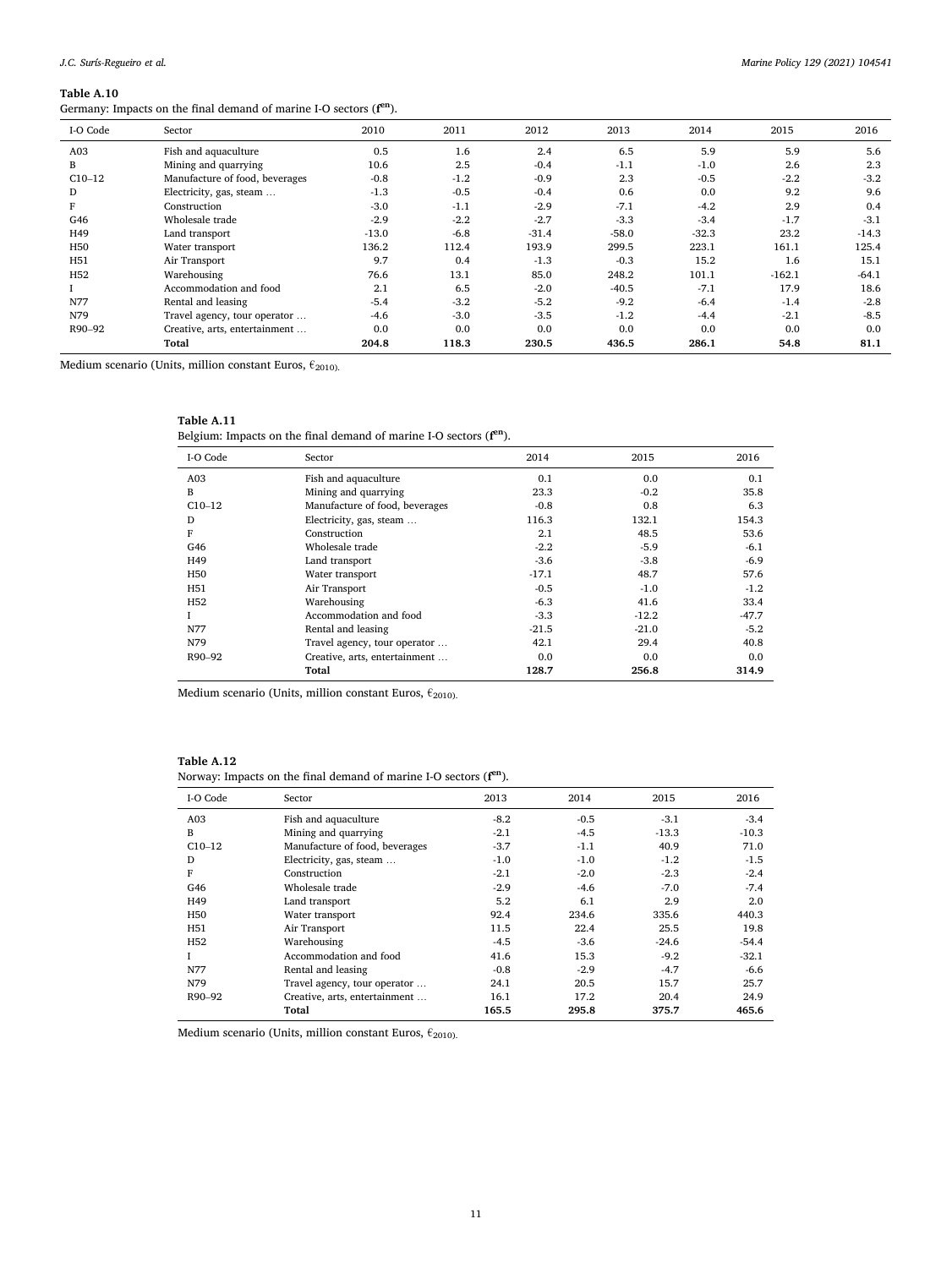Germany: Impacts on the final demand of marine I-O sectors (**f en**).

| I-O Code        | Sector                         | 2010    | 2011   | 2012    | 2013    | 2014    | 2015     | 2016    |
|-----------------|--------------------------------|---------|--------|---------|---------|---------|----------|---------|
| A <sub>03</sub> | Fish and aquaculture           | 0.5     | 1.6    | 2.4     | 6.5     | 5.9     | 5.9      | 5.6     |
| B               | Mining and quarrying           | 10.6    | 2.5    | $-0.4$  | $-1.1$  | $-1.0$  | 2.6      | 2.3     |
| $C10-12$        | Manufacture of food, beverages | $-0.8$  | $-1.2$ | $-0.9$  | 2.3     | $-0.5$  | $-2.2$   | $-3.2$  |
| D               | Electricity, gas, steam        | $-1.3$  | $-0.5$ | $-0.4$  | 0.6     | 0.0     | 9.2      | 9.6     |
| F               | Construction                   | $-3.0$  | $-1.1$ | $-2.9$  | $-7.1$  | $-4.2$  | 2.9      | 0.4     |
| G46             | Wholesale trade                | $-2.9$  | $-2.2$ | $-2.7$  | $-3.3$  | $-3.4$  | $-1.7$   | $-3.1$  |
| H49             | Land transport                 | $-13.0$ | $-6.8$ | $-31.4$ | $-58.0$ | $-32.3$ | 23.2     | $-14.3$ |
| H <sub>50</sub> | Water transport                | 136.2   | 112.4  | 193.9   | 299.5   | 223.1   | 161.1    | 125.4   |
| H <sub>51</sub> | Air Transport                  | 9.7     | 0.4    | $-1.3$  | $-0.3$  | 15.2    | 1.6      | 15.1    |
| H <sub>52</sub> | Warehousing                    | 76.6    | 13.1   | 85.0    | 248.2   | 101.1   | $-162.1$ | $-64.1$ |
|                 | Accommodation and food         | 2.1     | 6.5    | $-2.0$  | $-40.5$ | $-7.1$  | 17.9     | 18.6    |
| N77             | Rental and leasing             | $-5.4$  | $-3.2$ | $-5.2$  | $-9.2$  | $-6.4$  | $-1.4$   | $-2.8$  |
| N79             | Travel agency, tour operator   | $-4.6$  | $-3.0$ | $-3.5$  | $-1.2$  | $-4.4$  | $-2.1$   | $-8.5$  |
| R90-92          | Creative, arts, entertainment  | 0.0     | 0.0    | 0.0     | 0.0     | 0.0     | 0.0      | 0.0     |
|                 | Total                          | 204.8   | 118.3  | 230.5   | 436.5   | 286.1   | 54.8     | 81.1    |
|                 |                                |         |        |         |         |         |          |         |

Medium scenario (Units, million constant Euros,  $\epsilon_{2010}$ ).

| Table A.1 |  |
|-----------|--|
|           |  |

Belgium: Impacts on the final demand of marine I-O sectors (**f en**).

| I-O Code        | Sector                         | 2014    | 2015    | 2016    |
|-----------------|--------------------------------|---------|---------|---------|
| A03             | Fish and aquaculture           | 0.1     | 0.0     | 0.1     |
| B               | Mining and quarrying           | 23.3    | $-0.2$  | 35.8    |
| $C10-12$        | Manufacture of food, beverages | $-0.8$  | 0.8     | 6.3     |
| D               | Electricity, gas, steam        | 116.3   | 132.1   | 154.3   |
| F               | Construction                   | 2.1     | 48.5    | 53.6    |
| G46             | Wholesale trade                | $-2.2$  | $-5.9$  | $-6.1$  |
| H49             | Land transport                 | $-3.6$  | $-3.8$  | $-6.9$  |
| H <sub>50</sub> | Water transport                | $-17.1$ | 48.7    | 57.6    |
| H51             | Air Transport                  | $-0.5$  | $-1.0$  | $-1.2$  |
| H <sub>52</sub> | Warehousing                    | $-6.3$  | 41.6    | 33.4    |
|                 | Accommodation and food         | $-3.3$  | $-12.2$ | $-47.7$ |
| N77             | Rental and leasing             | $-21.5$ | $-21.0$ | $-5.2$  |
| N79             | Travel agency, tour operator   | 42.1    | 29.4    | 40.8    |
| R90-92          | Creative, arts, entertainment  | 0.0     | 0.0     | 0.0     |
|                 | Total                          | 128.7   | 256.8   | 314.9   |

Medium scenario (Units, million constant Euros,  $\epsilon_{2010}$ ).

#### **Table A.12**

Norway: Impacts on the final demand of marine I-O sectors (**f en**).

| I-O Code        | Sector                         | 2013   | 2014   | 2015    | 2016    |
|-----------------|--------------------------------|--------|--------|---------|---------|
| A <sub>03</sub> | Fish and aquaculture           | $-8.2$ | $-0.5$ | $-3.1$  | $-3.4$  |
| B               | Mining and quarrying           | $-2.1$ | $-4.5$ | $-13.3$ | $-10.3$ |
| $C10-12$        | Manufacture of food, beverages | $-3.7$ | $-1.1$ | 40.9    | 71.0    |
| D               | Electricity, gas, steam        | $-1.0$ | $-1.0$ | $-1.2$  | $-1.5$  |
| F               | Construction                   | $-2.1$ | $-2.0$ | $-2.3$  | $-2.4$  |
| G46             | Wholesale trade                | $-2.9$ | $-4.6$ | $-7.0$  | $-7.4$  |
| H49             | Land transport                 | 5.2    | 6.1    | 2.9     | 2.0     |
| H50             | Water transport                | 92.4   | 234.6  | 335.6   | 440.3   |
| H51             | Air Transport                  | 11.5   | 22.4   | 25.5    | 19.8    |
| H <sub>52</sub> | Warehousing                    | $-4.5$ | $-3.6$ | $-24.6$ | $-54.4$ |
| L               | Accommodation and food         | 41.6   | 15.3   | $-9.2$  | $-32.1$ |
| N77             | Rental and leasing             | $-0.8$ | $-2.9$ | $-4.7$  | $-6.6$  |
| N79             | Travel agency, tour operator   | 24.1   | 20.5   | 15.7    | 25.7    |
| R90-92          | Creative, arts, entertainment  | 16.1   | 17.2   | 20.4    | 24.9    |
|                 | Total                          | 165.5  | 295.8  | 375.7   | 465.6   |

Medium scenario (Units, million constant Euros,  $\epsilon_{\rm 2010\rm{)}}$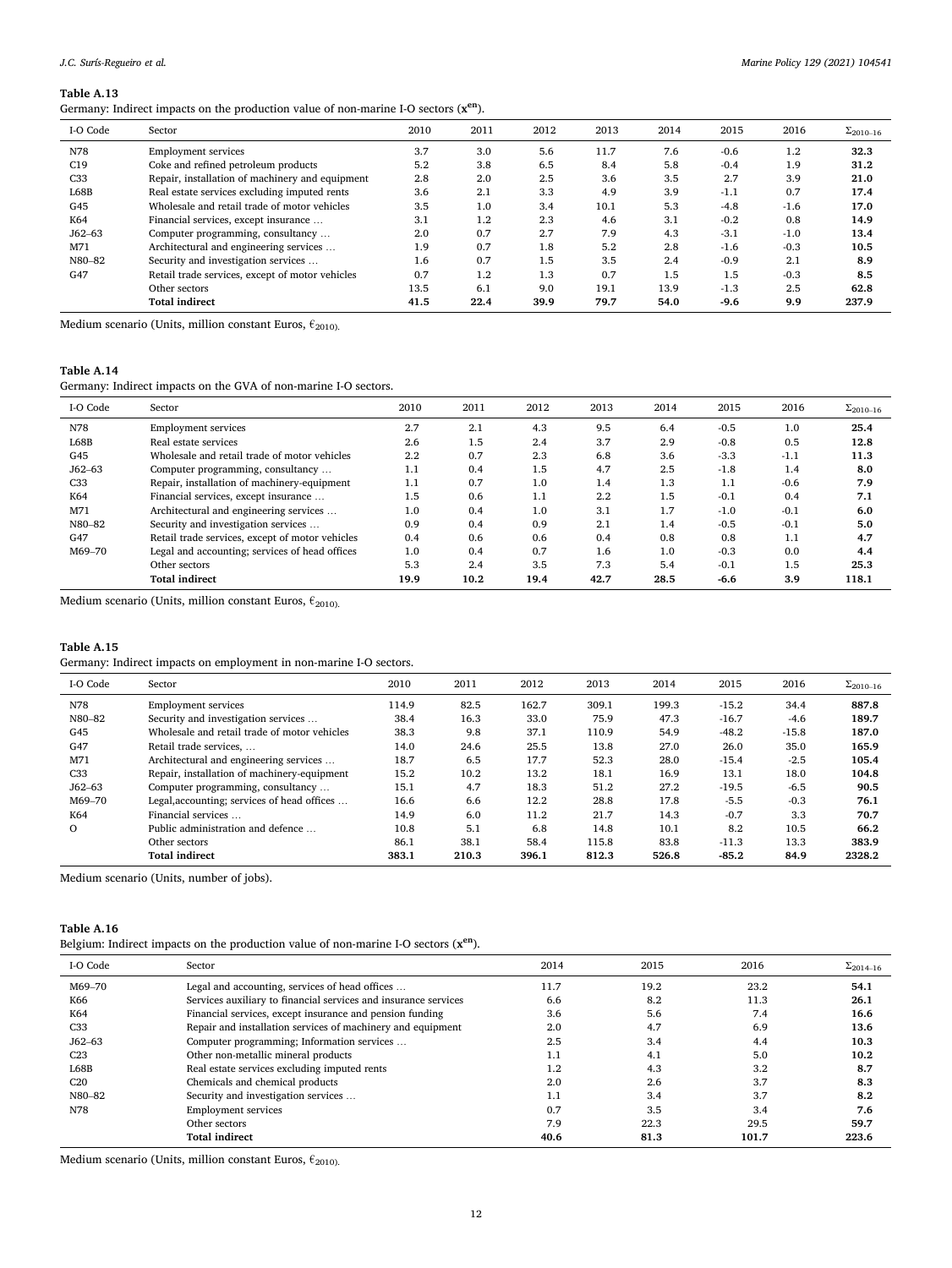## *J.C. Surís-Regueiro et al.*

#### **Table A.13**

Germany: Indirect impacts on the production value of non-marine I-O sectors (**xen**).

| I-O Code        | Sector                                          | 2010 | 2011    | 2012 | 2013 | 2014 | 2015   | 2016   | $\Sigma_{2010-16}$ |
|-----------------|-------------------------------------------------|------|---------|------|------|------|--------|--------|--------------------|
| N78             | <b>Employment services</b>                      | 3.7  | 3.0     | 5.6  | 11.7 | 7.6  | $-0.6$ | 1.2    | 32.3               |
| C19             | Coke and refined petroleum products             | 5.2  | 3.8     | 6.5  | 8.4  | 5.8  | $-0.4$ | 1.9    | 31.2               |
| C <sub>33</sub> | Repair, installation of machinery and equipment | 2.8  | 2.0     | 2.5  | 3.6  | 3.5  | 2.7    | 3.9    | 21.0               |
| L68B            | Real estate services excluding imputed rents    | 3.6  | 2.1     | 3.3  | 4.9  | 3.9  | $-1.1$ | 0.7    | 17.4               |
| G45             | Wholesale and retail trade of motor vehicles    | 3.5  | 1.0     | 3.4  | 10.1 | 5.3  | $-4.8$ | $-1.6$ | 17.0               |
| K64             | Financial services, except insurance            | 3.1  | $1.2\,$ | 2.3  | 4.6  | 3.1  | $-0.2$ | 0.8    | 14.9               |
| $J62 - 63$      | Computer programming, consultancy               | 2.0  | 0.7     | 2.7  | 7.9  | 4.3  | $-3.1$ | $-1.0$ | 13.4               |
| M71             | Architectural and engineering services          | 1.9  | 0.7     | 1.8  | 5.2  | 2.8  | $-1.6$ | $-0.3$ | 10.5               |
| N80-82          | Security and investigation services             | 1.6  | 0.7     | 1.5  | 3.5  | 2.4  | $-0.9$ | 2.1    | 8.9                |
| G47             | Retail trade services, except of motor vehicles | 0.7  | 1.2     | 1.3  | 0.7  | 1.5  | 1.5    | $-0.3$ | 8.5                |
|                 | Other sectors                                   | 13.5 | 6.1     | 9.0  | 19.1 | 13.9 | $-1.3$ | 2.5    | 62.8               |
|                 | <b>Total indirect</b>                           | 41.5 | 22.4    | 39.9 | 79.7 | 54.0 | $-9.6$ | 9.9    | 237.9              |

Medium scenario (Units, million constant Euros,  $\epsilon_{\rm 2010)}$ 

#### **Table A.14**

Germany: Indirect impacts on the GVA of non-marine I-O sectors.

| I-O Code        | Sector                                          | 2010 | 2011 | 2012 | 2013 | 2014 | 2015   | 2016   | $\Sigma_{2010-16}$ |
|-----------------|-------------------------------------------------|------|------|------|------|------|--------|--------|--------------------|
| N78             | <b>Employment services</b>                      | 2.7  | 2.1  | 4.3  | 9.5  | 6.4  | $-0.5$ | 1.0    | 25.4               |
| L68B            | Real estate services                            | 2.6  | 1.5  | 2.4  | 3.7  | 2.9  | $-0.8$ | 0.5    | 12.8               |
| G45             | Wholesale and retail trade of motor vehicles    | 2.2  | 0.7  | 2.3  | 6.8  | 3.6  | $-3.3$ | $-1.1$ | 11.3               |
| $J62 - 63$      | Computer programming, consultancy               | 1.1  | 0.4  | 1.5  | 4.7  | 2.5  | $-1.8$ | 1.4    | 8.0                |
| C <sub>33</sub> | Repair, installation of machinery-equipment     | 1.1  | 0.7  | 1.0  | 1.4  | 1.3  | 1.1    | $-0.6$ | 7.9                |
| K64             | Financial services, except insurance            | 1.5  | 0.6  | 1.1  | 2.2  | 1.5  | $-0.1$ | 0.4    | 7.1                |
| M71             | Architectural and engineering services          | 1.0  | 0.4  | 1.0  | 3.1  | 1.7  | $-1.0$ | $-0.1$ | 6.0                |
| N80-82          | Security and investigation services             | 0.9  | 0.4  | 0.9  | 2.1  | 1.4  | $-0.5$ | $-0.1$ | 5.0                |
| G47             | Retail trade services, except of motor vehicles | 0.4  | 0.6  | 0.6  | 0.4  | 0.8  | 0.8    | 1.1    | 4.7                |
| M69-70          | Legal and accounting; services of head offices  | 1.0  | 0.4  | 0.7  | 1.6  | 1.0  | $-0.3$ | 0.0    | 4.4                |
|                 | Other sectors                                   | 5.3  | 2.4  | 3.5  | 7.3  | 5.4  | $-0.1$ | 1.5    | 25.3               |
|                 | <b>Total indirect</b>                           | 19.9 | 10.2 | 19.4 | 42.7 | 28.5 | $-6.6$ | 3.9    | 118.1              |

Medium scenario (Units, million constant Euros,  $\epsilon_{2010}$ ).

# **Table A.15**

Germany: Indirect impacts on employment in non-marine I-O sectors.

| I-O Code        | Sector                                       | 2010  | 2011  | 2012  | 2013  | 2014  | 2015    | 2016    | $\Sigma_{2010-16}$ |
|-----------------|----------------------------------------------|-------|-------|-------|-------|-------|---------|---------|--------------------|
| N78             | <b>Employment services</b>                   | 114.9 | 82.5  | 162.7 | 309.1 | 199.3 | $-15.2$ | 34.4    | 887.8              |
| N80-82          | Security and investigation services          | 38.4  | 16.3  | 33.0  | 75.9  | 47.3  | $-16.7$ | $-4.6$  | 189.7              |
| G45             | Wholesale and retail trade of motor vehicles | 38.3  | 9.8   | 37.1  | 110.9 | 54.9  | $-48.2$ | $-15.8$ | 187.0              |
| G47             | Retail trade services,                       | 14.0  | 24.6  | 25.5  | 13.8  | 27.0  | 26.0    | 35.0    | 165.9              |
| M71             | Architectural and engineering services       | 18.7  | 6.5   | 17.7  | 52.3  | 28.0  | $-15.4$ | $-2.5$  | 105.4              |
| C <sub>33</sub> | Repair, installation of machinery-equipment  | 15.2  | 10.2  | 13.2  | 18.1  | 16.9  | 13.1    | 18.0    | 104.8              |
| $J62 - 63$      | Computer programming, consultancy            | 15.1  | 4.7   | 18.3  | 51.2  | 27.2  | $-19.5$ | $-6.5$  | 90.5               |
| M69-70          | Legal, accounting; services of head offices  | 16.6  | 6.6   | 12.2  | 28.8  | 17.8  | $-5.5$  | $-0.3$  | 76.1               |
| K64             | Financial services                           | 14.9  | 6.0   | 11.2  | 21.7  | 14.3  | $-0.7$  | 3.3     | 70.7               |
| 0               | Public administration and defence            | 10.8  | 5.1   | 6.8   | 14.8  | 10.1  | 8.2     | 10.5    | 66.2               |
|                 | Other sectors                                | 86.1  | 38.1  | 58.4  | 115.8 | 83.8  | $-11.3$ | 13.3    | 383.9              |
|                 | <b>Total indirect</b>                        | 383.1 | 210.3 | 396.1 | 812.3 | 526.8 | $-85.2$ | 84.9    | 2328.2             |

Medium scenario (Units, number of jobs).

## **Table A.16**

Belgium: Indirect impacts on the production value of non-marine I-O sectors (**xen**).

| I-O Code        | Sector                                                          | 2014 | 2015 | 2016  | $\Sigma_{2014-16}$ |
|-----------------|-----------------------------------------------------------------|------|------|-------|--------------------|
| M69-70          | Legal and accounting, services of head offices                  | 11.7 | 19.2 | 23.2  | 54.1               |
| K66             | Services auxiliary to financial services and insurance services | 6.6  | 8.2  | 11.3  | 26.1               |
| K64             | Financial services, except insurance and pension funding        | 3.6  | 5.6  | 7.4   | 16.6               |
| C <sub>33</sub> | Repair and installation services of machinery and equipment     | 2.0  | 4.7  | 6.9   | 13.6               |
| $J62 - 63$      | Computer programming; Information services                      | 2.5  | 3.4  | 4.4   | 10.3               |
| C <sub>23</sub> | Other non-metallic mineral products                             | 1.1  | 4.1  | 5.0   | 10.2               |
| L68B            | Real estate services excluding imputed rents                    | 1.2  | 4.3  | 3.2   | 8.7                |
| C <sub>20</sub> | Chemicals and chemical products                                 | 2.0  | 2.6  | 3.7   | 8.3                |
| N80-82          | Security and investigation services                             | 1.1  | 3.4  | 3.7   | 8.2                |
| N78             | <b>Employment services</b>                                      | 0.7  | 3.5  | 3.4   | 7.6                |
|                 | Other sectors                                                   | 7.9  | 22.3 | 29.5  | 59.7               |
|                 | <b>Total indirect</b>                                           | 40.6 | 81.3 | 101.7 | 223.6              |

Medium scenario (Units, million constant Euros,  $\epsilon_{\rm 2010)}$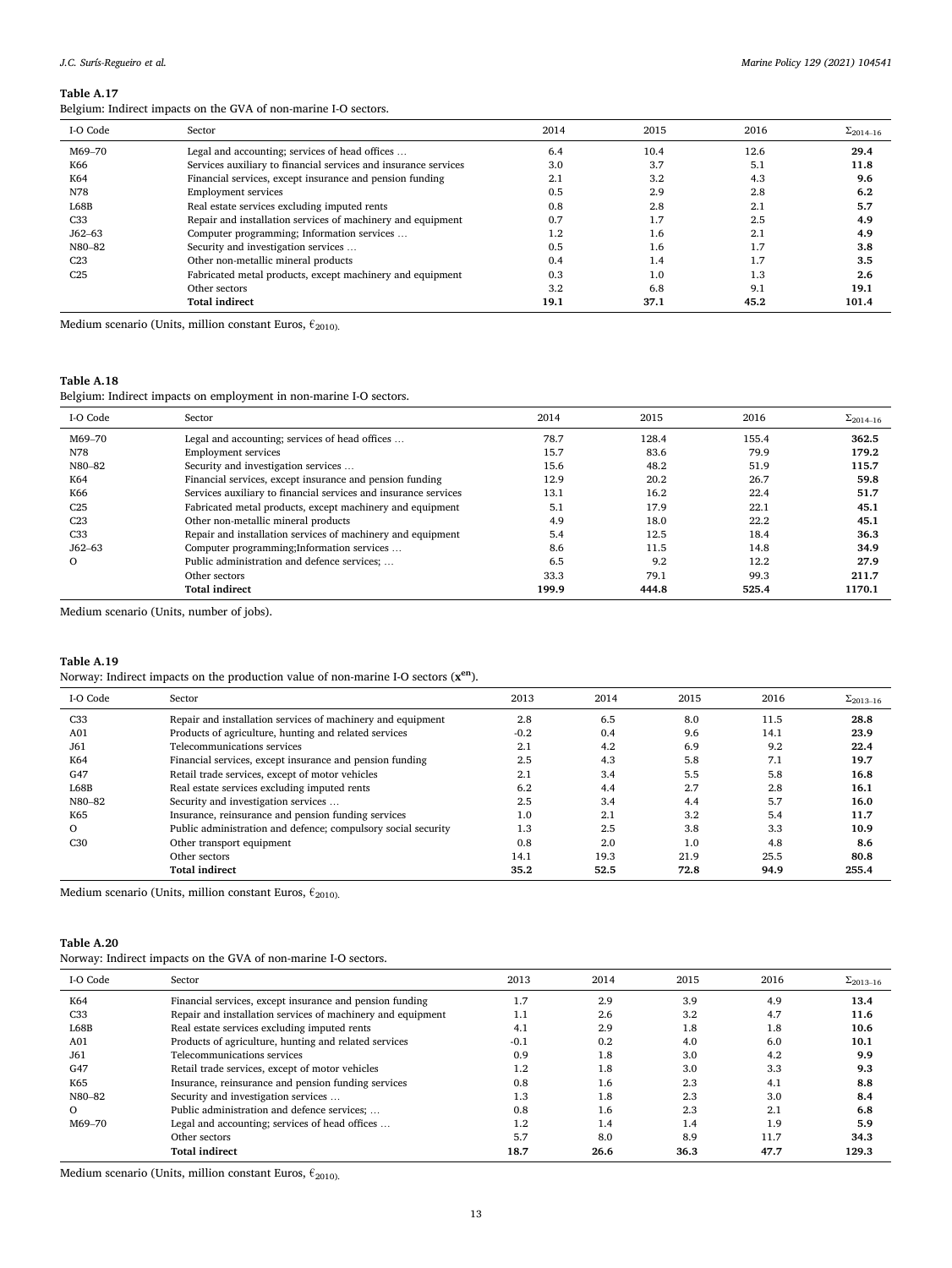Belgium: Indirect impacts on the GVA of non-marine I-O sectors.

| I-O Code        | Sector                                                          | 2014 | 2015 | 2016 | $\Sigma_{2014-16}$ |
|-----------------|-----------------------------------------------------------------|------|------|------|--------------------|
| M69-70          | Legal and accounting; services of head offices                  | 6.4  | 10.4 | 12.6 | 29.4               |
| K66             | Services auxiliary to financial services and insurance services | 3.0  | 3.7  | 5.1  | 11.8               |
| K64             | Financial services, except insurance and pension funding        | 2.1  | 3.2  | 4.3  | 9.6                |
| N78             | <b>Employment services</b>                                      | 0.5  | 2.9  | 2.8  | 6.2                |
| L68B            | Real estate services excluding imputed rents                    | 0.8  | 2.8  | 2.1  | 5.7                |
| C <sub>33</sub> | Repair and installation services of machinery and equipment     | 0.7  | 1.7  | 2.5  | 4.9                |
| $J62 - 63$      | Computer programming; Information services                      | 1.2  | 1.6  | 2.1  | 4.9                |
| N80-82          | Security and investigation services                             | 0.5  | 1.6  | 1.7  | 3.8                |
| C <sub>23</sub> | Other non-metallic mineral products                             | 0.4  | 1.4  |      | 3.5                |
| C <sub>25</sub> | Fabricated metal products, except machinery and equipment       | 0.3  | 1.0  | 1.3  | 2.6                |
|                 | Other sectors                                                   | 3.2  | 6.8  | 9.1  | 19.1               |
|                 | <b>Total indirect</b>                                           | 19.1 | 37.1 | 45.2 | 101.4              |

Medium scenario (Units, million constant Euros,  $\epsilon_{2010}$ ).

# **Table A.18**

Belgium: Indirect impacts on employment in non-marine I-O sectors.

| I-O Code        | Sector                                                          | 2014  | 2015  | 2016  | $\Sigma_{2014-16}$ |
|-----------------|-----------------------------------------------------------------|-------|-------|-------|--------------------|
| M69-70          | Legal and accounting; services of head offices                  | 78.7  | 128.4 | 155.4 | 362.5              |
| N78             | <b>Employment services</b>                                      | 15.7  | 83.6  | 79.9  | 179.2              |
| N80-82          | Security and investigation services                             | 15.6  | 48.2  | 51.9  | 115.7              |
| K64             | Financial services, except insurance and pension funding        | 12.9  | 20.2  | 26.7  | 59.8               |
| K66             | Services auxiliary to financial services and insurance services | 13.1  | 16.2  | 22.4  | 51.7               |
| C <sub>25</sub> | Fabricated metal products, except machinery and equipment       | 5.1   | 17.9  | 22.1  | 45.1               |
| C <sub>23</sub> | Other non-metallic mineral products                             | 4.9   | 18.0  | 22.2  | 45.1               |
| C <sub>33</sub> | Repair and installation services of machinery and equipment     | 5.4   | 12.5  | 18.4  | 36.3               |
| $J62 - 63$      | Computer programming; Information services                      | 8.6   | 11.5  | 14.8  | 34.9               |
| $\Omega$        | Public administration and defence services;                     | 6.5   | 9.2   | 12.2  | 27.9               |
|                 | Other sectors                                                   | 33.3  | 79.1  | 99.3  | 211.7              |
|                 | <b>Total indirect</b>                                           | 199.9 | 444.8 | 525.4 | 1170.1             |

Medium scenario (Units, number of jobs).

## **Table A.19**

Norway: Indirect impacts on the production value of non-marine I-O sectors (**xen**).

| I-O Code        | Sector                                                        | 2013   | 2014 | 2015 | 2016 | $\Sigma_{2013-16}$ |
|-----------------|---------------------------------------------------------------|--------|------|------|------|--------------------|
| C <sub>33</sub> | Repair and installation services of machinery and equipment   | 2.8    | 6.5  | 8.0  | 11.5 | 28.8               |
| A01             | Products of agriculture, hunting and related services         | $-0.2$ | 0.4  | 9.6  | 14.1 | 23.9               |
| J61             | Telecommunications services                                   | 2.1    | 4.2  | 6.9  | 9.2  | 22.4               |
| K64             | Financial services, except insurance and pension funding      | 2.5    | 4.3  | 5.8  | 7.1  | 19.7               |
| G47             | Retail trade services, except of motor vehicles               | 2.1    | 3.4  | 5.5  | 5.8  | 16.8               |
| L68B            | Real estate services excluding imputed rents                  | 6.2    | 4.4  | 2.7  | 2.8  | 16.1               |
| N80-82          | Security and investigation services                           | 2.5    | 3.4  | 4.4  | 5.7  | 16.0               |
| K65             | Insurance, reinsurance and pension funding services           | 1.0    | 2.1  | 3.2  | 5.4  | 11.7               |
| $\Omega$        | Public administration and defence; compulsory social security | 1.3    | 2.5  | 3.8  | 3.3  | 10.9               |
| C30             | Other transport equipment                                     | 0.8    | 2.0  | 1.0  | 4.8  | 8.6                |
|                 | Other sectors                                                 | 14.1   | 19.3 | 21.9 | 25.5 | 80.8               |
|                 | <b>Total indirect</b>                                         | 35.2   | 52.5 | 72.8 | 94.9 | 255.4              |

Medium scenario (Units, million constant Euros,  $\epsilon_{2010}$ ).

### **Table A.20**

Norway: Indirect impacts on the GVA of non-marine I-O sectors.

| 13.4  |
|-------|
| 11.6  |
| 10.6  |
| 10.1  |
| 9.9   |
| 9.3   |
| 8.8   |
| 8.4   |
| 6.8   |
| 5.9   |
| 34.3  |
| 129.3 |
|       |

Medium scenario (Units, million constant Euros,  $\epsilon_{2010}$ ).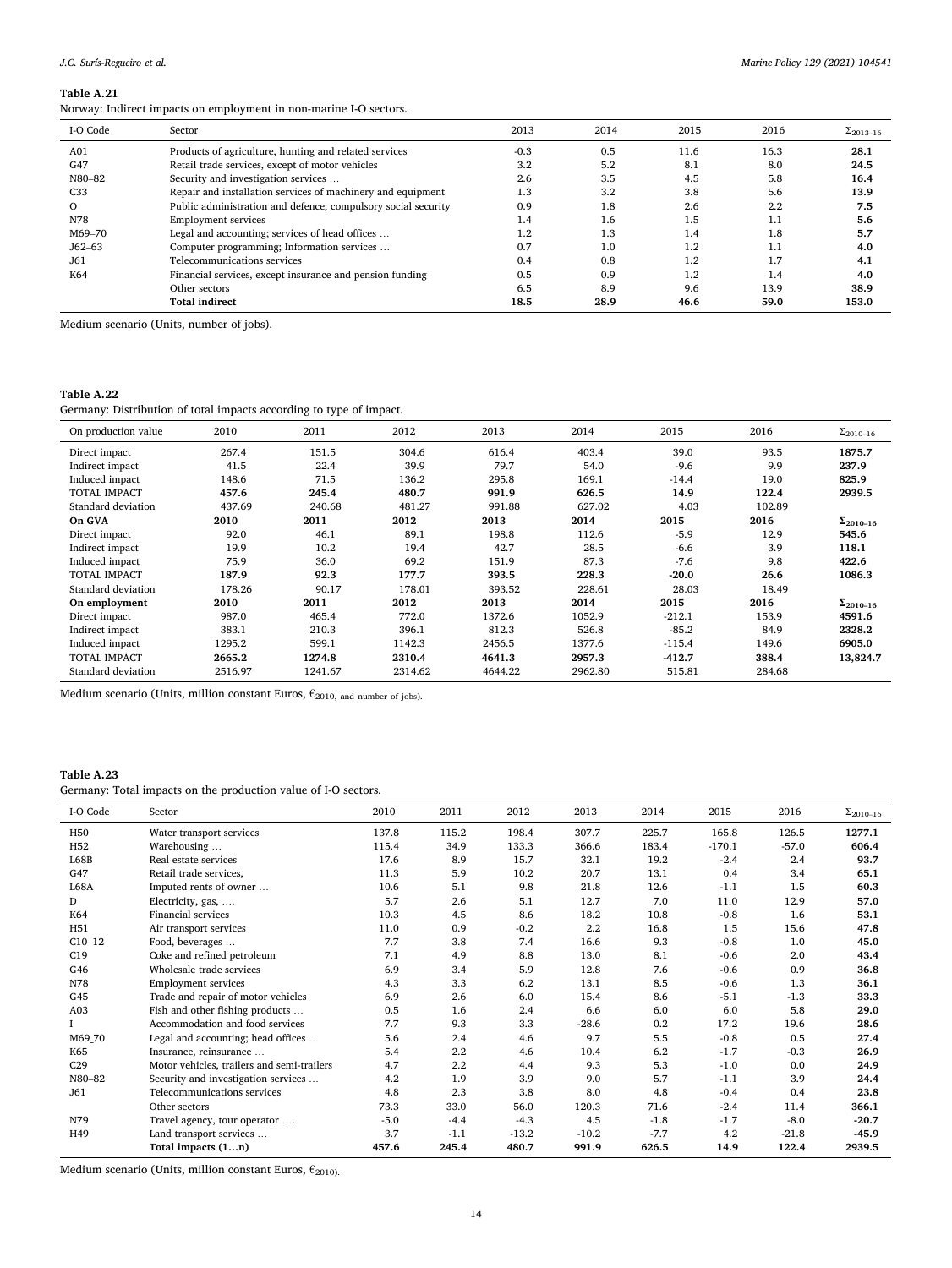Norway: Indirect impacts on employment in non-marine I-O sectors.

| I-O Code        | Sector                                                        | 2013   | 2014 | 2015 | 2016 | $\Sigma_{2013-16}$ |
|-----------------|---------------------------------------------------------------|--------|------|------|------|--------------------|
| A <sub>01</sub> | Products of agriculture, hunting and related services         | $-0.3$ | 0.5  | 11.6 | 16.3 | 28.1               |
| G47             | Retail trade services, except of motor vehicles               | 3.2    | 5.2  | 8.1  | 8.0  | 24.5               |
| N80-82          | Security and investigation services                           | 2.6    | 3.5  | 4.5  | 5.8  | 16.4               |
| C <sub>33</sub> | Repair and installation services of machinery and equipment   | 1.3    | 3.2  | 3.8  | 5.6  | 13.9               |
| $\Omega$        | Public administration and defence; compulsory social security | 0.9    | 1.8  | 2.6  | 2.2  | 7.5                |
| N78             | <b>Employment services</b>                                    | 1.4    | 1.6  | 1.5  | 1.1  | 5.6                |
| M69-70          | Legal and accounting; services of head offices                | 1.2    | 1.3  | 1.4  | 1.8  | 5.7                |
| $J62 - 63$      | Computer programming; Information services                    | 0.7    | 1.0  | 1.2  | 1.1  | 4.0                |
| J61             | Telecommunications services                                   | 0.4    | 0.8  | 1.2  | 1.7  | 4.1                |
| K64             | Financial services, except insurance and pension funding      | 0.5    | 0.9  | 1.2  | 1.4  | 4.0                |
|                 | Other sectors                                                 | 6.5    | 8.9  | 9.6  | 13.9 | 38.9               |
|                 | <b>Total indirect</b>                                         | 18.5   | 28.9 | 46.6 | 59.0 | 153.0              |

Medium scenario (Units, number of jobs).

# **Table A.22**

Germany: Distribution of total impacts according to type of impact.

| On production value | 2010    | 2011    | 2012    | 2013    | 2014    | 2015     | 2016   | $\Sigma_{2010-16}$ |
|---------------------|---------|---------|---------|---------|---------|----------|--------|--------------------|
| Direct impact       | 267.4   | 151.5   | 304.6   | 616.4   | 403.4   | 39.0     | 93.5   | 1875.7             |
| Indirect impact     | 41.5    | 22.4    | 39.9    | 79.7    | 54.0    | $-9.6$   | 9.9    | 237.9              |
| Induced impact      | 148.6   | 71.5    | 136.2   | 295.8   | 169.1   | $-14.4$  | 19.0   | 825.9              |
| <b>TOTAL IMPACT</b> | 457.6   | 245.4   | 480.7   | 991.9   | 626.5   | 14.9     | 122.4  | 2939.5             |
| Standard deviation  | 437.69  | 240.68  | 481.27  | 991.88  | 627.02  | 4.03     | 102.89 |                    |
| On GVA              | 2010    | 2011    | 2012    | 2013    | 2014    | 2015     | 2016   | $\Sigma_{2010-16}$ |
| Direct impact       | 92.0    | 46.1    | 89.1    | 198.8   | 112.6   | $-5.9$   | 12.9   | 545.6              |
| Indirect impact     | 19.9    | 10.2    | 19.4    | 42.7    | 28.5    | $-6.6$   | 3.9    | 118.1              |
| Induced impact      | 75.9    | 36.0    | 69.2    | 151.9   | 87.3    | $-7.6$   | 9.8    | 422.6              |
| <b>TOTAL IMPACT</b> | 187.9   | 92.3    | 177.7   | 393.5   | 228.3   | $-20.0$  | 26.6   | 1086.3             |
| Standard deviation  | 178.26  | 90.17   | 178.01  | 393.52  | 228.61  | 28.03    | 18.49  |                    |
| On employment       | 2010    | 2011    | 2012    | 2013    | 2014    | 2015     | 2016   | $\Sigma_{2010-16}$ |
| Direct impact       | 987.0   | 465.4   | 772.0   | 1372.6  | 1052.9  | $-212.1$ | 153.9  | 4591.6             |
| Indirect impact     | 383.1   | 210.3   | 396.1   | 812.3   | 526.8   | $-85.2$  | 84.9   | 2328.2             |
| Induced impact      | 1295.2  | 599.1   | 1142.3  | 2456.5  | 1377.6  | $-115.4$ | 149.6  | 6905.0             |
| <b>TOTAL IMPACT</b> | 2665.2  | 1274.8  | 2310.4  | 4641.3  | 2957.3  | $-412.7$ | 388.4  | 13,824.7           |
| Standard deviation  | 2516.97 | 1241.67 | 2314.62 | 4644.22 | 2962.80 | 515.81   | 284.68 |                    |

Medium scenario (Units, million constant Euros,  $\epsilon_{2010, \text{ and number of jobs}}$ ).

## **Table A.23**

Germany: Total impacts on the production value of I-O sectors.

| I-O Code        | Sector                                     | 2010   | 2011    | 2012    | 2013    | 2014   | 2015     | 2016    | $\Sigma_{2010-16}$ |
|-----------------|--------------------------------------------|--------|---------|---------|---------|--------|----------|---------|--------------------|
| H <sub>50</sub> | Water transport services                   | 137.8  | 115.2   | 198.4   | 307.7   | 225.7  | 165.8    | 126.5   | 1277.1             |
| H <sub>52</sub> | Warehousing                                | 115.4  | 34.9    | 133.3   | 366.6   | 183.4  | $-170.1$ | $-57.0$ | 606.4              |
| L68B            | Real estate services                       | 17.6   | 8.9     | 15.7    | 32.1    | 19.2   | $-2.4$   | 2.4     | 93.7               |
| G47             | Retail trade services,                     | 11.3   | 5.9     | 10.2    | 20.7    | 13.1   | 0.4      | 3.4     | 65.1               |
| <b>L68A</b>     | Imputed rents of owner                     | 10.6   | 5.1     | 9.8     | 21.8    | 12.6   | $-1.1$   | 1.5     | 60.3               |
| D               | Electricity, gas,                          | 5.7    | 2.6     | 5.1     | 12.7    | 7.0    | 11.0     | 12.9    | 57.0               |
| K64             | <b>Financial services</b>                  | 10.3   | 4.5     | 8.6     | 18.2    | 10.8   | $-0.8$   | 1.6     | 53.1               |
| H51             | Air transport services                     | 11.0   | 0.9     | $-0.2$  | 2.2     | 16.8   | 1.5      | 15.6    | 47.8               |
| $C10-12$        | Food, beverages                            | 7.7    | 3.8     | 7.4     | 16.6    | 9.3    | $-0.8$   | 1.0     | 45.0               |
| C19             | Coke and refined petroleum                 | 7.1    | 4.9     | 8.8     | 13.0    | 8.1    | $-0.6$   | 2.0     | 43.4               |
| G46             | Wholesale trade services                   | 6.9    | 3.4     | 5.9     | 12.8    | 7.6    | $-0.6$   | 0.9     | 36.8               |
| N78             | <b>Employment services</b>                 | 4.3    | 3.3     | 6.2     | 13.1    | 8.5    | $-0.6$   | 1.3     | 36.1               |
| G45             | Trade and repair of motor vehicles         | 6.9    | 2.6     | 6.0     | 15.4    | 8.6    | $-5.1$   | $-1.3$  | 33.3               |
| A03             | Fish and other fishing products            | 0.5    | 1.6     | 2.4     | 6.6     | 6.0    | 6.0      | 5.8     | 29.0               |
|                 | Accommodation and food services            | 7.7    | 9.3     | 3.3     | $-28.6$ | 0.2    | 17.2     | 19.6    | 28.6               |
| M69_70          | Legal and accounting; head offices         | 5.6    | 2.4     | 4.6     | 9.7     | 5.5    | $-0.8$   | 0.5     | 27.4               |
| K65             | Insurance, reinsurance                     | 5.4    | $2.2\,$ | 4.6     | 10.4    | 6.2    | $-1.7$   | $-0.3$  | 26.9               |
| C29             | Motor vehicles, trailers and semi-trailers | 4.7    | 2.2     | 4.4     | 9.3     | 5.3    | $-1.0$   | 0.0     | 24.9               |
| N80-82          | Security and investigation services        | 4.2    | 1.9     | 3.9     | 9.0     | 5.7    | $-1.1$   | 3.9     | 24.4               |
| J61             | Telecommunications services                | 4.8    | 2.3     | 3.8     | 8.0     | 4.8    | $-0.4$   | 0.4     | 23.8               |
|                 | Other sectors                              | 73.3   | 33.0    | 56.0    | 120.3   | 71.6   | $-2.4$   | 11.4    | 366.1              |
| N79             | Travel agency, tour operator               | $-5.0$ | $-4.4$  | $-4.3$  | 4.5     | $-1.8$ | $-1.7$   | $-8.0$  | $-20.7$            |
| H49             | Land transport services                    | 3.7    | $-1.1$  | $-13.2$ | $-10.2$ | $-7.7$ | 4.2      | $-21.8$ | $-45.9$            |
|                 | Total impacts (1n)                         | 457.6  | 245.4   | 480.7   | 991.9   | 626.5  | 14.9     | 122.4   | 2939.5             |

Medium scenario (Units, million constant Euros,  $\epsilon_{\rm 2010\rm{)}}$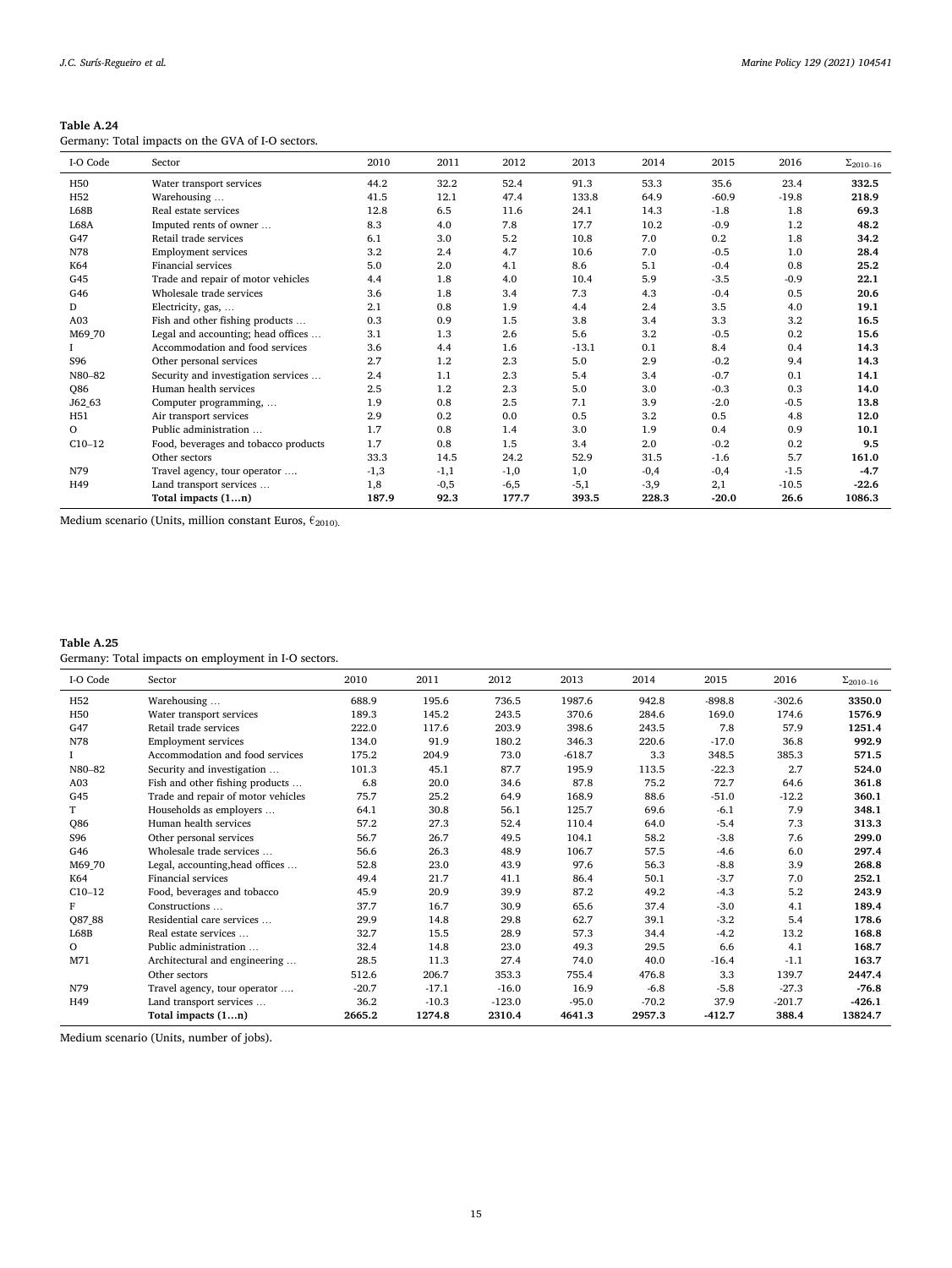| Table A.24                                        |
|---------------------------------------------------|
| Germany: Total impacts on the GVA of I-O sectors. |

|                 | $\alpha$ . To the implicit of the $\alpha$ is to be decided. |        |        |        |         |        |         |         |                    |
|-----------------|--------------------------------------------------------------|--------|--------|--------|---------|--------|---------|---------|--------------------|
| I-O Code        | Sector                                                       | 2010   | 2011   | 2012   | 2013    | 2014   | 2015    | 2016    | $\Sigma_{2010-16}$ |
| H <sub>50</sub> | Water transport services                                     | 44.2   | 32.2   | 52.4   | 91.3    | 53.3   | 35.6    | 23.4    | 332.5              |
| H <sub>52</sub> | Warehousing                                                  | 41.5   | 12.1   | 47.4   | 133.8   | 64.9   | $-60.9$ | $-19.8$ | 218.9              |
| L68B            | Real estate services                                         | 12.8   | 6.5    | 11.6   | 24.1    | 14.3   | $-1.8$  | 1.8     | 69.3               |
| L68A            | Imputed rents of owner                                       | 8.3    | 4.0    | 7.8    | 17.7    | 10.2   | $-0.9$  | 1.2     | 48.2               |
| G47             | Retail trade services                                        | 6.1    | 3.0    | 5.2    | 10.8    | 7.0    | 0.2     | 1.8     | 34.2               |
| N78             | <b>Employment services</b>                                   | 3.2    | 2.4    | 4.7    | 10.6    | 7.0    | $-0.5$  | 1.0     | 28.4               |
| K64             | Financial services                                           | 5.0    | 2.0    | 4.1    | 8.6     | 5.1    | $-0.4$  | 0.8     | 25.2               |
| G45             | Trade and repair of motor vehicles                           | 4.4    | 1.8    | 4.0    | 10.4    | 5.9    | $-3.5$  | $-0.9$  | 22.1               |
| G46             | Wholesale trade services                                     | 3.6    | 1.8    | 3.4    | 7.3     | 4.3    | $-0.4$  | 0.5     | 20.6               |
| D               | Electricity, gas,                                            | 2.1    | 0.8    | 1.9    | 4.4     | 2.4    | 3.5     | 4.0     | 19.1               |
| A <sub>03</sub> | Fish and other fishing products                              | 0.3    | 0.9    | 1.5    | 3.8     | 3.4    | 3.3     | 3.2     | 16.5               |
| M69_70          | Legal and accounting; head offices                           | 3.1    | 1.3    | 2.6    | 5.6     | 3.2    | $-0.5$  | 0.2     | 15.6               |
|                 | Accommodation and food services                              | 3.6    | 4.4    | 1.6    | $-13.1$ | 0.1    | 8.4     | 0.4     | 14.3               |
| S96             | Other personal services                                      | 2.7    | 1.2    | 2.3    | 5.0     | 2.9    | $-0.2$  | 9.4     | 14.3               |
| N80-82          | Security and investigation services                          | 2.4    | 1.1    | 2.3    | 5.4     | 3.4    | $-0.7$  | 0.1     | 14.1               |
| <b>Q86</b>      | Human health services                                        | 2.5    | 1.2    | 2.3    | 5.0     | 3.0    | $-0.3$  | 0.3     | 14.0               |
| J62 63          | Computer programming,                                        | 1.9    | 0.8    | 2.5    | 7.1     | 3.9    | $-2.0$  | $-0.5$  | 13.8               |
| H51             | Air transport services                                       | 2.9    | 0.2    | 0.0    | 0.5     | 3.2    | 0.5     | 4.8     | 12.0               |
| $\Omega$        | Public administration                                        | 1.7    | 0.8    | 1.4    | 3.0     | 1.9    | 0.4     | 0.9     | 10.1               |
| $C10-12$        | Food, beverages and tobacco products                         | 1.7    | 0.8    | 1.5    | 3.4     | 2.0    | $-0.2$  | 0.2     | 9.5                |
|                 | Other sectors                                                | 33.3   | 14.5   | 24.2   | 52.9    | 31.5   | $-1.6$  | 5.7     | 161.0              |
| N79             | Travel agency, tour operator                                 | $-1,3$ | $-1,1$ | $-1,0$ | 1,0     | $-0,4$ | $-0,4$  | $-1.5$  | $-4.7$             |
| H49             | Land transport services                                      | 1,8    | $-0,5$ | $-6,5$ | $-5,1$  | $-3,9$ | 2,1     | $-10.5$ | $-22.6$            |
|                 | Total impacts (1n)                                           | 187.9  | 92.3   | 177.7  | 393.5   | 228.3  | $-20.0$ | 26.6    | 1086.3             |

Medium scenario (Units, million constant Euros,  $\epsilon_{\rm 2010\rm{)}}$ 

# **Table A.25**

Germany: Total impacts on employment in I-O sectors.

| I-O Code        | Sector                             | 2010    | 2011    | 2012     | 2013     | 2014    | 2015     | 2016     | $\Sigma_{2010-16}$ |
|-----------------|------------------------------------|---------|---------|----------|----------|---------|----------|----------|--------------------|
| H <sub>52</sub> | Warehousing                        | 688.9   | 195.6   | 736.5    | 1987.6   | 942.8   | $-898.8$ | $-302.6$ | 3350.0             |
| H <sub>50</sub> | Water transport services           | 189.3   | 145.2   | 243.5    | 370.6    | 284.6   | 169.0    | 174.6    | 1576.9             |
| G47             | Retail trade services              | 222.0   | 117.6   | 203.9    | 398.6    | 243.5   | 7.8      | 57.9     | 1251.4             |
| N78             | <b>Employment services</b>         | 134.0   | 91.9    | 180.2    | 346.3    | 220.6   | $-17.0$  | 36.8     | 992.9              |
|                 | Accommodation and food services    | 175.2   | 204.9   | 73.0     | $-618.7$ | 3.3     | 348.5    | 385.3    | 571.5              |
| N80-82          | Security and investigation         | 101.3   | 45.1    | 87.7     | 195.9    | 113.5   | $-22.3$  | 2.7      | 524.0              |
| A03             | Fish and other fishing products    | 6.8     | 20.0    | 34.6     | 87.8     | 75.2    | 72.7     | 64.6     | 361.8              |
| G45             | Trade and repair of motor vehicles | 75.7    | 25.2    | 64.9     | 168.9    | 88.6    | $-51.0$  | $-12.2$  | 360.1              |
| T               | Households as employers            | 64.1    | 30.8    | 56.1     | 125.7    | 69.6    | $-6.1$   | 7.9      | 348.1              |
| <b>Q86</b>      | Human health services              | 57.2    | 27.3    | 52.4     | 110.4    | 64.0    | $-5.4$   | 7.3      | 313.3              |
| S96             | Other personal services            | 56.7    | 26.7    | 49.5     | 104.1    | 58.2    | $-3.8$   | 7.6      | 299.0              |
| G46             | Wholesale trade services           | 56.6    | 26.3    | 48.9     | 106.7    | 57.5    | $-4.6$   | 6.0      | 297.4              |
| M69_70          | Legal, accounting, head offices    | 52.8    | 23.0    | 43.9     | 97.6     | 56.3    | $-8.8$   | 3.9      | 268.8              |
| K64             | Financial services                 | 49.4    | 21.7    | 41.1     | 86.4     | 50.1    | $-3.7$   | 7.0      | 252.1              |
| $C10-12$        | Food, beverages and tobacco        | 45.9    | 20.9    | 39.9     | 87.2     | 49.2    | $-4.3$   | 5.2      | 243.9              |
| F               | Constructions                      | 37.7    | 16.7    | 30.9     | 65.6     | 37.4    | $-3.0$   | 4.1      | 189.4              |
| Q87_88          | Residential care services          | 29.9    | 14.8    | 29.8     | 62.7     | 39.1    | $-3.2$   | 5.4      | 178.6              |
| L68B            | Real estate services               | 32.7    | 15.5    | 28.9     | 57.3     | 34.4    | $-4.2$   | 13.2     | 168.8              |
| $\circ$         | Public administration              | 32.4    | 14.8    | 23.0     | 49.3     | 29.5    | 6.6      | 4.1      | 168.7              |
| M71             | Architectural and engineering      | 28.5    | 11.3    | 27.4     | 74.0     | 40.0    | $-16.4$  | $-1.1$   | 163.7              |
|                 | Other sectors                      | 512.6   | 206.7   | 353.3    | 755.4    | 476.8   | 3.3      | 139.7    | 2447.4             |
| N79             | Travel agency, tour operator       | $-20.7$ | $-17.1$ | $-16.0$  | 16.9     | $-6.8$  | $-5.8$   | $-27.3$  | $-76.8$            |
| H49             | Land transport services            | 36.2    | $-10.3$ | $-123.0$ | $-95.0$  | $-70.2$ | 37.9     | $-201.7$ | $-426.1$           |
|                 | Total impacts (1n)                 | 2665.2  | 1274.8  | 2310.4   | 4641.3   | 2957.3  | $-412.7$ | 388.4    | 13824.7            |

Medium scenario (Units, number of jobs).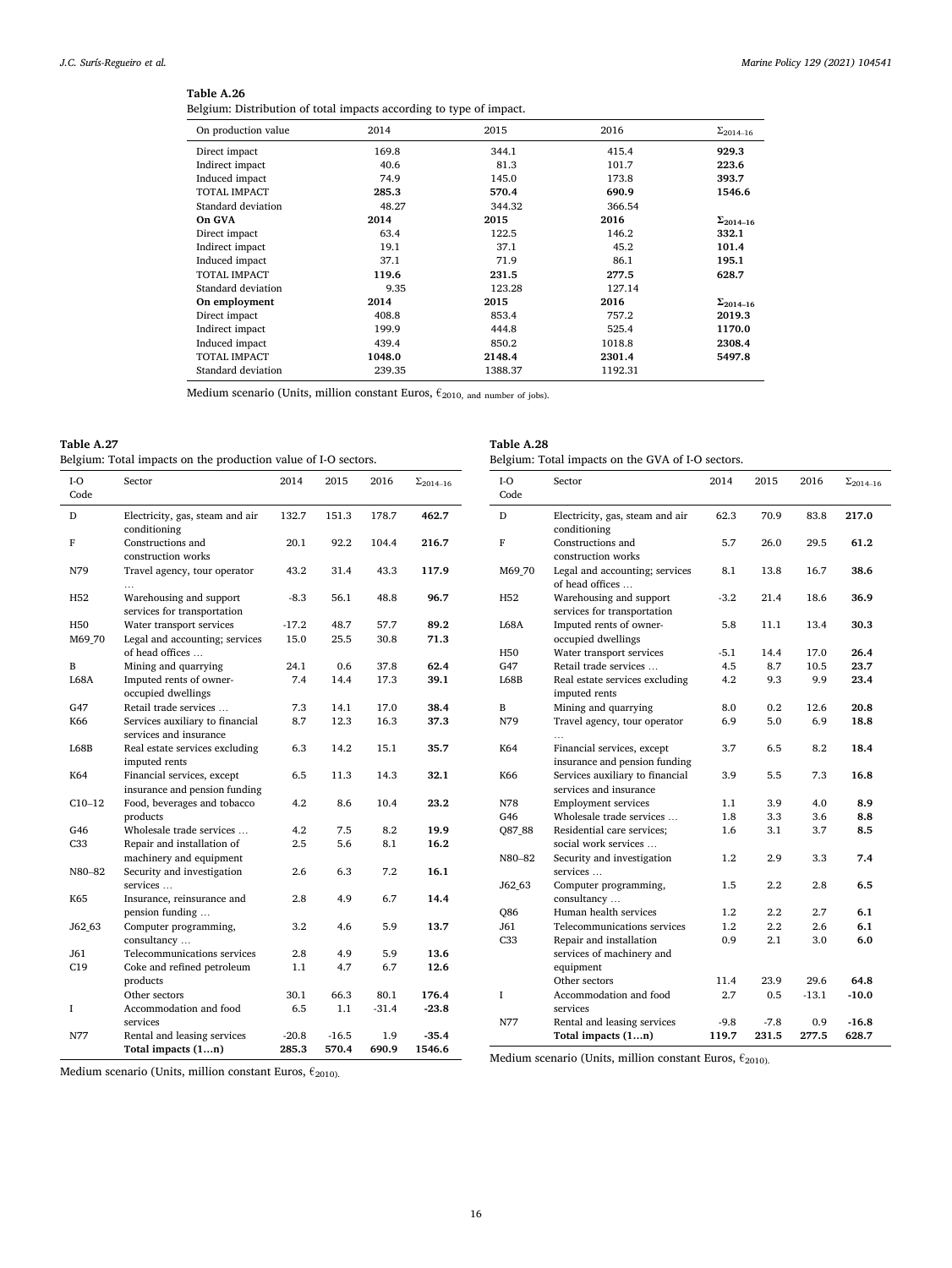Belgium: Distribution of total impacts according to type of impact.

| On production value | 2014   | 2015    | 2016    | $\Sigma_{2014-16}$ |
|---------------------|--------|---------|---------|--------------------|
| Direct impact       | 169.8  | 344.1   | 415.4   | 929.3              |
| Indirect impact     | 40.6   | 81.3    | 101.7   | 223.6              |
| Induced impact      | 74.9   | 145.0   | 173.8   | 393.7              |
| <b>TOTAL IMPACT</b> | 285.3  | 570.4   | 690.9   | 1546.6             |
| Standard deviation  | 48.27  | 344.32  | 366.54  |                    |
| On GVA              | 2014   | 2015    | 2016    | $\Sigma_{2014-16}$ |
| Direct impact       | 63.4   | 122.5   | 146.2   | 332.1              |
| Indirect impact     | 19.1   | 37.1    | 45.2    | 101.4              |
| Induced impact      | 37.1   | 71.9    | 86.1    | 195.1              |
| <b>TOTAL IMPACT</b> | 119.6  | 231.5   | 277.5   | 628.7              |
| Standard deviation  | 9.35   | 123.28  | 127.14  |                    |
| On employment       | 2014   | 2015    | 2016    | $\Sigma_{2014-16}$ |
| Direct impact       | 408.8  | 853.4   | 757.2   | 2019.3             |
| Indirect impact     | 199.9  | 444.8   | 525.4   | 1170.0             |
| Induced impact      | 439.4  | 850.2   | 1018.8  | 2308.4             |
| <b>TOTAL IMPACT</b> | 1048.0 | 2148.4  | 2301.4  | 5497.8             |
| Standard deviation  | 239.35 | 1388.37 | 1192.31 |                    |

Medium scenario (Units, million constant Euros,  $\epsilon_{2010}$ , and number of jobs).

# **Table A.27**

Belgium: Total impacts on the production value of I-O sectors.

| I-O         | Sector                                                      | 2014    | 2015    | 2016    | $\Sigma_{2014-16}$ |
|-------------|-------------------------------------------------------------|---------|---------|---------|--------------------|
| Code        |                                                             |         |         |         |                    |
| D           | Electricity, gas, steam and air<br>conditioning             | 132.7   | 151.3   | 178.7   | 462.7              |
| F           | Constructions and<br>construction works                     | 20.1    | 92.2    | 104.4   | 216.7              |
| N79         | Travel agency, tour operator                                | 43.2    | 31.4    | 43.3    | 117.9              |
| H52         | Warehousing and support<br>services for transportation      | $-8.3$  | 56.1    | 48.8    | 96.7               |
| H50         | Water transport services                                    | $-17.2$ | 48.7    | 57.7    | 89.2               |
| M69_70      | Legal and accounting; services<br>of head offices           | 15.0    | 25.5    | 30.8    | 71.3               |
| B           | Mining and quarrying                                        | 24.1    | 0.6     | 37.8    | 62.4               |
| <b>L68A</b> | Imputed rents of owner-<br>occupied dwellings               | 7.4     | 14.4    | 17.3    | 39.1               |
| G47         | Retail trade services                                       | 7.3     | 14.1    | 17.0    | 38.4               |
| K66         | Services auxiliary to financial<br>services and insurance   | 8.7     | 12.3    | 16.3    | 37.3               |
| L68B        | Real estate services excluding<br>imputed rents             | 6.3     | 14.2    | 15.1    | 35.7               |
| K64         | Financial services, except<br>insurance and pension funding | 6.5     | 11.3    | 14.3    | 32.1               |
| $C10-12$    | Food, beverages and tobacco<br>products                     | 4.2     | 8.6     | 10.4    | 23.2               |
| G46         | Wholesale trade services                                    | 4.2     | 7.5     | 8.2     | 19.9               |
| C33         | Repair and installation of<br>machinery and equipment       | 2.5     | 5.6     | 8.1     | 16.2               |
| N80-82      | Security and investigation<br>services                      | 2.6     | 6.3     | 7.2     | 16.1               |
| K65         | Insurance, reinsurance and<br>pension funding               | 2.8     | 4.9     | 6.7     | 14.4               |
| J62 63      | Computer programming,<br>consultancy                        | 3.2     | 4.6     | 5.9     | 13.7               |
| J61         | Telecommunications services                                 | 2.8     | 4.9     | 5.9     | 13.6               |
| C19         | Coke and refined petroleum<br>products                      | $1.1\,$ | 4.7     | 6.7     | 12.6               |
|             | Other sectors                                               | 30.1    | 66.3    | 80.1    | 176.4              |
| I           | Accommodation and food<br>services                          | 6.5     | 1.1     | $-31.4$ | $-23.8$            |
| N77         | Rental and leasing services                                 | $-20.8$ | $-16.5$ | 1.9     | $-35.4$            |
|             | Total impacts (1n)                                          | 285.3   | 570.4   | 690.9   | 1546.6             |

| $I-O$           | Sector                                                            | 2014    | 2015    | 2016    | $\Sigma_{2014-16}$ |
|-----------------|-------------------------------------------------------------------|---------|---------|---------|--------------------|
| Code            |                                                                   |         |         |         |                    |
| D               | Electricity, gas, steam and air<br>conditioning                   | 62.3    | 70.9    | 83.8    | 217.0              |
| F               | Constructions and<br>construction works                           | 5.7     | 26.0    | 29.5    | 61.2               |
| M69 70          | Legal and accounting; services<br>of head offices                 | 8.1     | 13.8    | 16.7    | 38.6               |
| H52             | Warehousing and support<br>services for transportation            | $-3.2$  | 21.4    | 18.6    | 36.9               |
| L68A            | Imputed rents of owner-<br>occupied dwellings                     | 5.8     | 11.1    | 13.4    | 30.3               |
| H50             | Water transport services                                          | $-5.1$  | 14.4    | 17.0    | 26.4               |
| G47             | Retail trade services                                             | 4.5     | 8.7     | 10.5    | 23.7               |
| L68B            | Real estate services excluding<br>imputed rents                   | 4.2     | 9.3     | 9.9     | 23.4               |
| B               | Mining and quarrying                                              | 8.0     | 0.2     | 12.6    | 20.8               |
| N79             | Travel agency, tour operator                                      | 6.9     | 5.0     | 6.9     | 18.8               |
| K64             | Financial services, except<br>insurance and pension funding       | 3.7     | 6.5     | 8.2     | 18.4               |
| K66             | Services auxiliary to financial<br>services and insurance         | 3.9     | 5.5     | 7.3     | 16.8               |
| N78             | <b>Employment services</b>                                        | 1.1     | 3.9     | 4.0     | 8.9                |
| G46             | Wholesale trade services                                          | 1.8     | 3.3     | 3.6     | 8.8                |
| Q87_88          | Residential care services:<br>social work services                | 1.6     | 3.1     | 3.7     | 8.5                |
| N80-82          | Security and investigation<br>services                            | 1.2     | 2.9     | 3.3     | 7.4                |
| J62 63          | Computer programming,<br>consultancy                              | 1.5     | $2.2\,$ | 2.8     | 6.5                |
| <b>Q86</b>      | Human health services                                             | $1.2\,$ | $2.2\,$ | 2.7     | 6.1                |
| J61             | Telecommunications services                                       | $1.2\,$ | $2.2\,$ | 2.6     | 6.1                |
| C <sub>33</sub> | Repair and installation<br>services of machinery and<br>equipment | 0.9     | $2.1\,$ | 3.0     | 6.0                |
|                 | Other sectors                                                     | 11.4    | 23.9    | 29.6    | 64.8               |
| I               | Accommodation and food<br>services                                | 2.7     | 0.5     | $-13.1$ | $-10.0$            |
| N77             | Rental and leasing services                                       | $-9.8$  | $-7.8$  | 0.9     | $-16.8$            |
|                 | Total impacts (1n)                                                | 119.7   | 231.5   | 277.5   | 628.7              |

Medium scenario (Units, million constant Euros,  $\epsilon_{2010}$ ).

Medium scenario (Units, million constant Euros,  $\epsilon_{\rm 2010)}$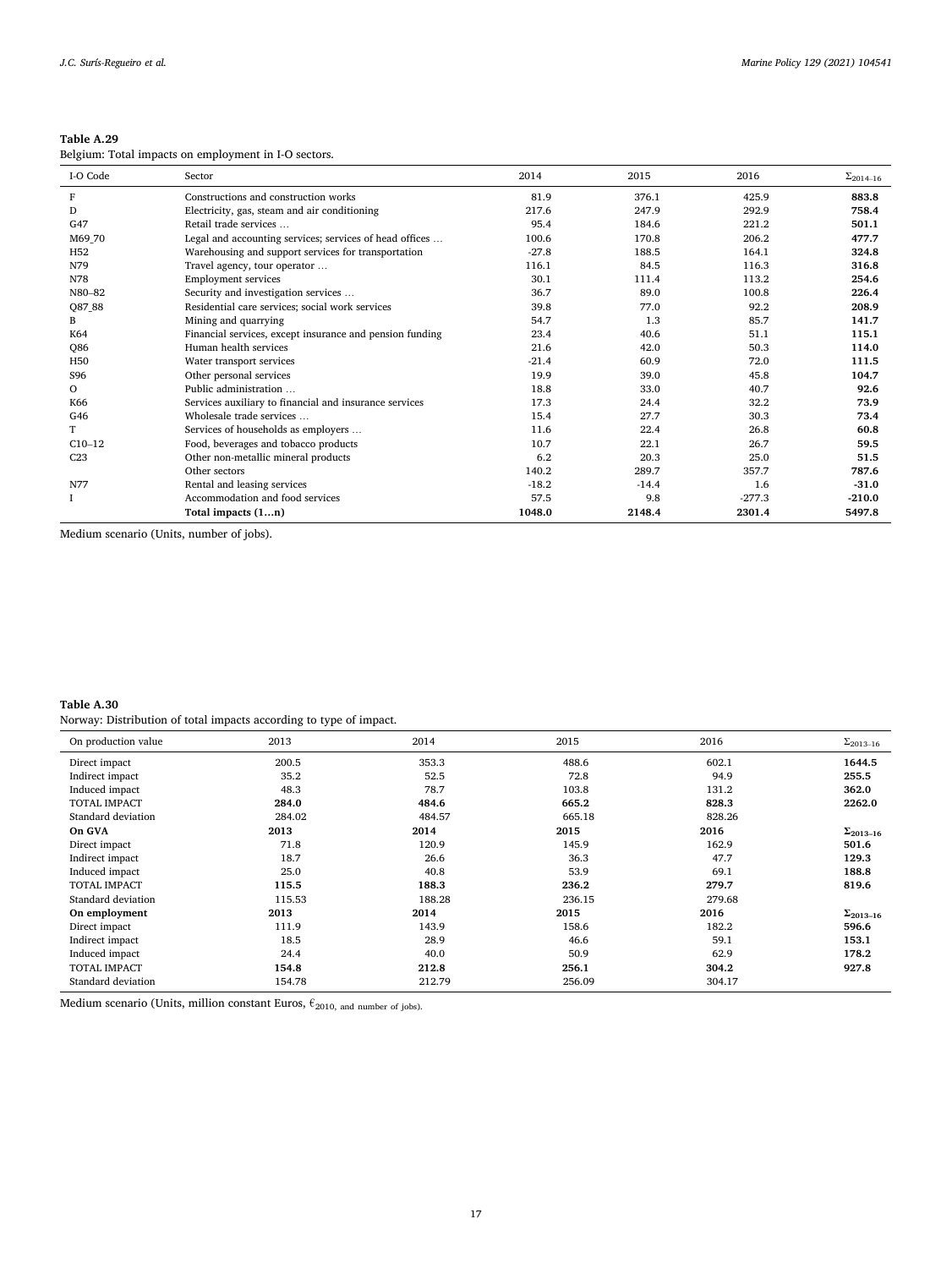Belgium: Total impacts on employment in I-O sectors.

| I-O Code        | Sector                                                   | 2014    | 2015    | 2016     | $\Sigma_{2014-16}$ |
|-----------------|----------------------------------------------------------|---------|---------|----------|--------------------|
| F               | Constructions and construction works                     | 81.9    | 376.1   | 425.9    | 883.8              |
| D               | Electricity, gas, steam and air conditioning             | 217.6   | 247.9   | 292.9    | 758.4              |
| G47             | Retail trade services                                    | 95.4    | 184.6   | 221.2    | 501.1              |
| M69_70          | Legal and accounting services; services of head offices  | 100.6   | 170.8   | 206.2    | 477.7              |
| H <sub>52</sub> | Warehousing and support services for transportation      | $-27.8$ | 188.5   | 164.1    | 324.8              |
| N79             | Travel agency, tour operator                             | 116.1   | 84.5    | 116.3    | 316.8              |
| N78             | <b>Employment services</b>                               | 30.1    | 111.4   | 113.2    | 254.6              |
| N80-82          | Security and investigation services                      | 36.7    | 89.0    | 100.8    | 226.4              |
| Q87_88          | Residential care services; social work services          | 39.8    | 77.0    | 92.2     | 208.9              |
| B               | Mining and quarrying                                     | 54.7    | 1.3     | 85.7     | 141.7              |
| K64             | Financial services, except insurance and pension funding | 23.4    | 40.6    | 51.1     | 115.1              |
| Q86             | Human health services                                    | 21.6    | 42.0    | 50.3     | 114.0              |
| H <sub>50</sub> | Water transport services                                 | $-21.4$ | 60.9    | 72.0     | 111.5              |
| S96             | Other personal services                                  | 19.9    | 39.0    | 45.8     | 104.7              |
| $\Omega$        | Public administration                                    | 18.8    | 33.0    | 40.7     | 92.6               |
| K66             | Services auxiliary to financial and insurance services   | 17.3    | 24.4    | 32.2     | 73.9               |
| G46             | Wholesale trade services                                 | 15.4    | 27.7    | 30.3     | 73.4               |
| T               | Services of households as employers                      | 11.6    | 22.4    | 26.8     | 60.8               |
| $C10-12$        | Food, beverages and tobacco products                     | 10.7    | 22.1    | 26.7     | 59.5               |
| C <sub>23</sub> | Other non-metallic mineral products                      | 6.2     | 20.3    | 25.0     | 51.5               |
|                 | Other sectors                                            | 140.2   | 289.7   | 357.7    | 787.6              |
| N77             | Rental and leasing services                              | $-18.2$ | $-14.4$ | 1.6      | $-31.0$            |
|                 | Accommodation and food services                          | 57.5    | 9.8     | $-277.3$ | $-210.0$           |
|                 | Total impacts $(1n)$                                     | 1048.0  | 2148.4  | 2301.4   | 5497.8             |

Medium scenario (Units, number of jobs).

**Table A.30**  Norway: Distribution of total impacts according to type of impact.

| . .    |        |        |        |                    |
|--------|--------|--------|--------|--------------------|
| 2013   | 2014   | 2015   | 2016   | $\Sigma_{2013-16}$ |
| 200.5  | 353.3  | 488.6  | 602.1  | 1644.5             |
| 35.2   | 52.5   | 72.8   | 94.9   | 255.5              |
| 48.3   | 78.7   | 103.8  | 131.2  | 362.0              |
| 284.0  | 484.6  | 665.2  | 828.3  | 2262.0             |
| 284.02 | 484.57 | 665.18 | 828.26 |                    |
| 2013   | 2014   | 2015   | 2016   | $\Sigma_{2013-16}$ |
| 71.8   | 120.9  | 145.9  | 162.9  | 501.6              |
| 18.7   | 26.6   | 36.3   | 47.7   | 129.3              |
| 25.0   | 40.8   | 53.9   | 69.1   | 188.8              |
| 115.5  | 188.3  | 236.2  | 279.7  | 819.6              |
| 115.53 | 188.28 | 236.15 | 279.68 |                    |
| 2013   | 2014   | 2015   | 2016   | $\Sigma_{2013-16}$ |
| 111.9  | 143.9  | 158.6  | 182.2  | 596.6              |
| 18.5   | 28.9   | 46.6   | 59.1   | 153.1              |
| 24.4   | 40.0   | 50.9   | 62.9   | 178.2              |
| 154.8  | 212.8  | 256.1  | 304.2  | 927.8              |
| 154.78 | 212.79 | 256.09 | 304.17 |                    |
|        |        |        |        |                    |

Medium scenario (Units, million constant Euros,  $\epsilon_{2010, \text{ and number of jobs}}$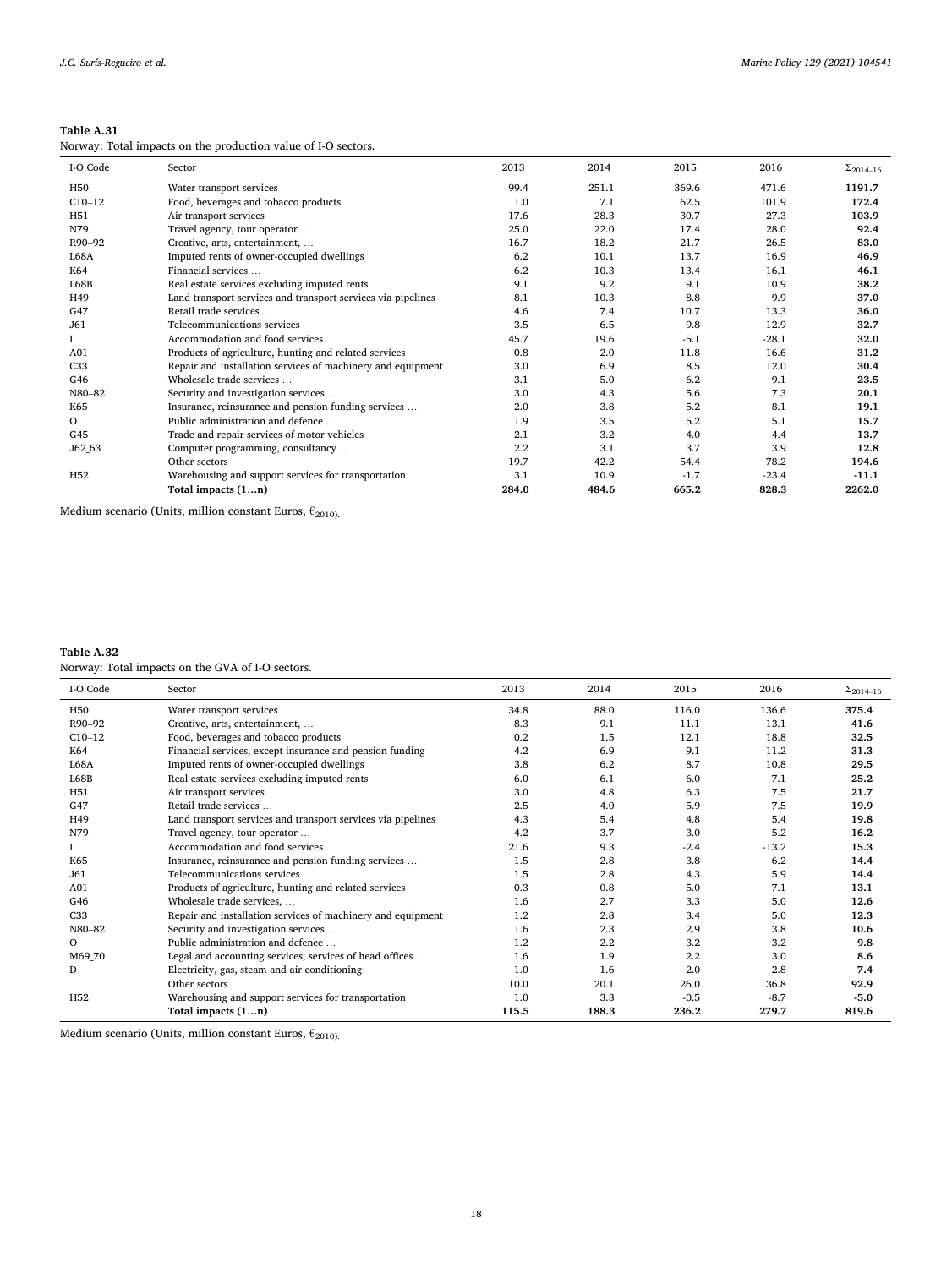| Table A.31 |  |
|------------|--|
|------------|--|

| Norway: Total impacts on the production value of I-O sectors. |  |  |  |  |
|---------------------------------------------------------------|--|--|--|--|
|---------------------------------------------------------------|--|--|--|--|

| I-O Code        | Sector                                                       | 2013  | 2014  | 2015   | 2016    | $\Sigma_{2014-16}$ |
|-----------------|--------------------------------------------------------------|-------|-------|--------|---------|--------------------|
| H <sub>50</sub> | Water transport services                                     | 99.4  | 251.1 | 369.6  | 471.6   | 1191.7             |
| $C10-12$        | Food, beverages and tobacco products                         | 1.0   | 7.1   | 62.5   | 101.9   | 172.4              |
| H <sub>51</sub> | Air transport services                                       | 17.6  | 28.3  | 30.7   | 27.3    | 103.9              |
| N79             | Travel agency, tour operator                                 | 25.0  | 22.0  | 17.4   | 28.0    | 92.4               |
| R90-92          | Creative, arts, entertainment,                               | 16.7  | 18.2  | 21.7   | 26.5    | 83.0               |
| L68A            | Imputed rents of owner-occupied dwellings                    | 6.2   | 10.1  | 13.7   | 16.9    | 46.9               |
| K64             | Financial services                                           | 6.2   | 10.3  | 13.4   | 16.1    | 46.1               |
| L68B            | Real estate services excluding imputed rents                 | 9.1   | 9.2   | 9.1    | 10.9    | 38.2               |
| H49             | Land transport services and transport services via pipelines | 8.1   | 10.3  | 8.8    | 9.9     | 37.0               |
| G47             | Retail trade services                                        | 4.6   | 7.4   | 10.7   | 13.3    | 36.0               |
| J61             | Telecommunications services                                  | 3.5   | 6.5   | 9.8    | 12.9    | 32.7               |
|                 | Accommodation and food services                              | 45.7  | 19.6  | $-5.1$ | $-28.1$ | 32.0               |
| A01             | Products of agriculture, hunting and related services        | 0.8   | 2.0   | 11.8   | 16.6    | 31.2               |
| C33             | Repair and installation services of machinery and equipment  | 3.0   | 6.9   | 8.5    | 12.0    | 30.4               |
| G46             | Wholesale trade services                                     | 3.1   | 5.0   | 6.2    | 9.1     | 23.5               |
| N80-82          | Security and investigation services                          | 3.0   | 4.3   | 5.6    | 7.3     | 20.1               |
| K65             | Insurance, reinsurance and pension funding services          | 2.0   | 3.8   | 5.2    | 8.1     | 19.1               |
| $\circ$         | Public administration and defence                            | 1.9   | 3.5   | 5.2    | 5.1     | 15.7               |
| G45             | Trade and repair services of motor vehicles                  | 2.1   | 3.2   | 4.0    | 4.4     | 13.7               |
| J62 63          | Computer programming, consultancy                            | 2.2   | 3.1   | 3.7    | 3.9     | 12.8               |
|                 | Other sectors                                                | 19.7  | 42.2  | 54.4   | 78.2    | 194.6              |
| H <sub>52</sub> | Warehousing and support services for transportation          | 3.1   | 10.9  | $-1.7$ | $-23.4$ | $-11.1$            |
|                 | Total impacts (1n)                                           | 284.0 | 484.6 | 665.2  | 828.3   | 2262.0             |

Medium scenario (Units, million constant Euros,  $\epsilon_{\rm 2010\rm{)}}$ 

# **Table A.32**

Norway: Total impacts on the GVA of I-O sectors.

| I-O Code        | Sector                                                       | 2013  | 2014    | 2015   | 2016    | $\Sigma_{2014-16}$ |
|-----------------|--------------------------------------------------------------|-------|---------|--------|---------|--------------------|
| H <sub>50</sub> | Water transport services                                     | 34.8  | 88.0    | 116.0  | 136.6   | 375.4              |
| R90-92          | Creative, arts, entertainment,                               | 8.3   | 9.1     | 11.1   | 13.1    | 41.6               |
| $C10-12$        | Food, beverages and tobacco products                         | 0.2   | 1.5     | 12.1   | 18.8    | 32.5               |
| K64             | Financial services, except insurance and pension funding     | 4.2   | 6.9     | 9.1    | 11.2    | 31.3               |
| <b>L68A</b>     | Imputed rents of owner-occupied dwellings                    | 3.8   | 6.2     | 8.7    | 10.8    | 29.5               |
| L68B            | Real estate services excluding imputed rents                 | 6.0   | 6.1     | 6.0    | 7.1     | 25.2               |
| H51             | Air transport services                                       | 3.0   | 4.8     | 6.3    | 7.5     | 21.7               |
| G47             | Retail trade services                                        | 2.5   | 4.0     | 5.9    | 7.5     | 19.9               |
| H49             | Land transport services and transport services via pipelines | 4.3   | 5.4     | 4.8    | 5.4     | 19.8               |
| N79             | Travel agency, tour operator                                 | 4.2   | 3.7     | 3.0    | 5.2     | 16.2               |
|                 | Accommodation and food services                              | 21.6  | 9.3     | $-2.4$ | $-13.2$ | 15.3               |
| K65             | Insurance, reinsurance and pension funding services          | 1.5   | 2.8     | 3.8    | 6.2     | 14.4               |
| J61             | Telecommunications services                                  | 1.5   | 2.8     | 4.3    | 5.9     | 14.4               |
| A01             | Products of agriculture, hunting and related services        | 0.3   | 0.8     | 5.0    | 7.1     | 13.1               |
| G46             | Wholesale trade services,                                    | 1.6   | 2.7     | 3.3    | 5.0     | 12.6               |
| C33             | Repair and installation services of machinery and equipment  | 1.2   | 2.8     | 3.4    | 5.0     | 12.3               |
| N80-82          | Security and investigation services                          | 1.6   | 2.3     | 2.9    | 3.8     | 10.6               |
| $\Omega$        | Public administration and defence                            | 1.2   | $2.2\,$ | 3.2    | 3.2     | 9.8                |
| M69_70          | Legal and accounting services; services of head offices      | 1.6   | 1.9     | 2.2    | 3.0     | 8.6                |
| D               | Electricity, gas, steam and air conditioning                 | 1.0   | 1.6     | 2.0    | 2.8     | 7.4                |
|                 | Other sectors                                                | 10.0  | 20.1    | 26.0   | 36.8    | 92.9               |
| H <sub>52</sub> | Warehousing and support services for transportation          | 1.0   | 3.3     | $-0.5$ | $-8.7$  | $-5.0$             |
|                 | Total impacts (1n)                                           | 115.5 | 188.3   | 236.2  | 279.7   | 819.6              |

Medium scenario (Units, million constant Euros,  $\epsilon_{\rm 2010\rm{)}}$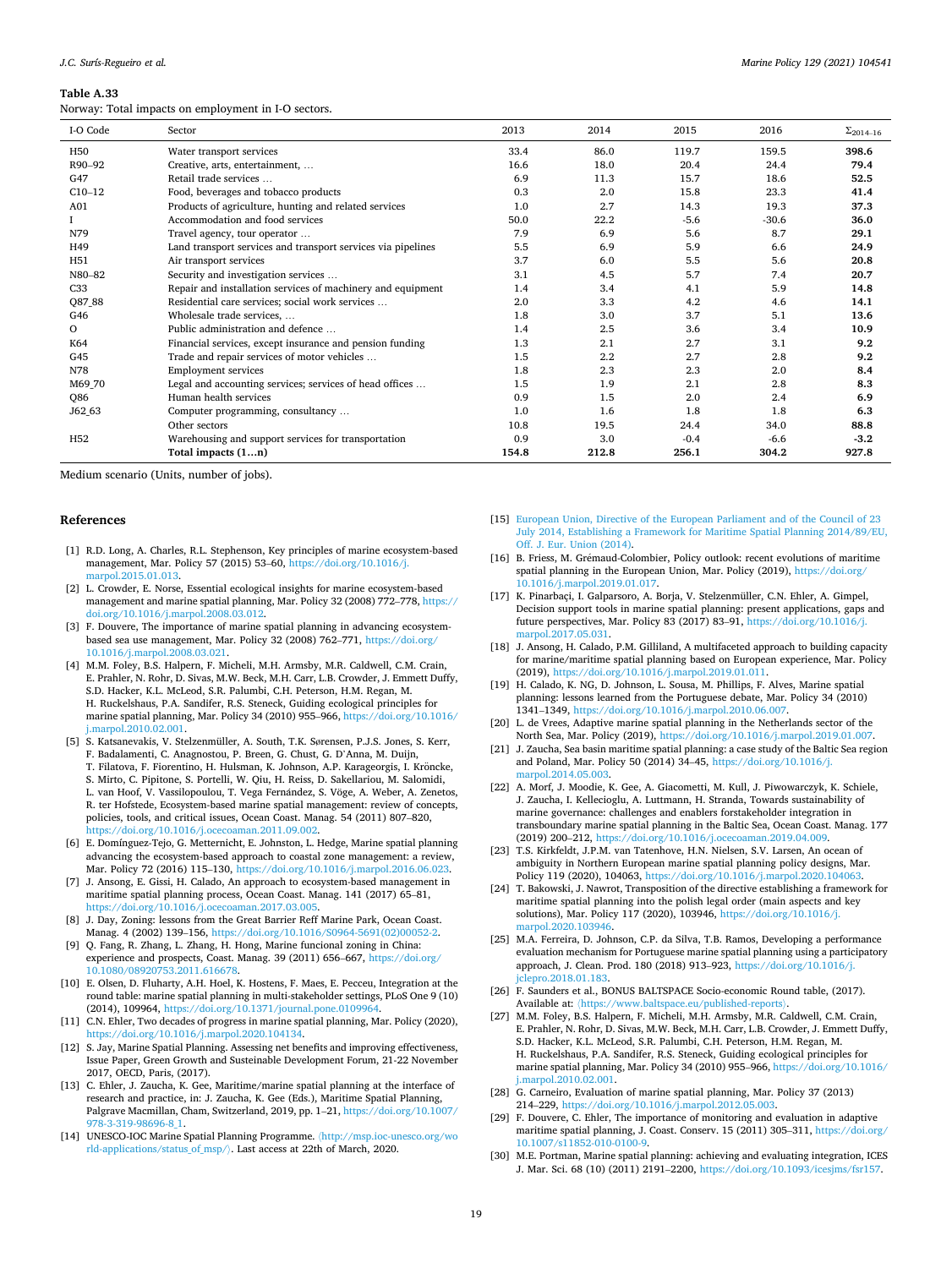<span id="page-18-0"></span>Norway: Total impacts on employment in I-O sectors.

| I-O Code        | Sector                                                       | 2013  | 2014  | 2015   | 2016    | $\Sigma_{2014-16}$ |
|-----------------|--------------------------------------------------------------|-------|-------|--------|---------|--------------------|
| H <sub>50</sub> | Water transport services                                     | 33.4  | 86.0  | 119.7  | 159.5   | 398.6              |
| R90-92          | Creative, arts, entertainment,                               | 16.6  | 18.0  | 20.4   | 24.4    | 79.4               |
| G47             | Retail trade services                                        | 6.9   | 11.3  | 15.7   | 18.6    | 52.5               |
| $C10-12$        | Food, beverages and tobacco products                         | 0.3   | 2.0   | 15.8   | 23.3    | 41.4               |
| A01             | Products of agriculture, hunting and related services        | 1.0   | 2.7   | 14.3   | 19.3    | 37.3               |
|                 | Accommodation and food services                              | 50.0  | 22.2  | $-5.6$ | $-30.6$ | 36.0               |
| N79             | Travel agency, tour operator                                 | 7.9   | 6.9   | 5.6    | 8.7     | 29.1               |
| H49             | Land transport services and transport services via pipelines | 5.5   | 6.9   | 5.9    | 6.6     | 24.9               |
| H <sub>51</sub> | Air transport services                                       | 3.7   | 6.0   | 5.5    | 5.6     | 20.8               |
| N80-82          | Security and investigation services                          | 3.1   | 4.5   | 5.7    | 7.4     | 20.7               |
| C33             | Repair and installation services of machinery and equipment  | 1.4   | 3.4   | 4.1    | 5.9     | 14.8               |
| Q87_88          | Residential care services; social work services              | 2.0   | 3.3   | 4.2    | 4.6     | 14.1               |
| G46             | Wholesale trade services,                                    | 1.8   | 3.0   | 3.7    | 5.1     | 13.6               |
| $\Omega$        | Public administration and defence                            | 1.4   | 2.5   | 3.6    | 3.4     | 10.9               |
| K64             | Financial services, except insurance and pension funding     | 1.3   | 2.1   | 2.7    | 3.1     | 9.2                |
| G45             | Trade and repair services of motor vehicles                  | 1.5   | 2.2   | 2.7    | 2.8     | 9.2                |
| N78             | <b>Employment services</b>                                   | 1.8   | 2.3   | 2.3    | 2.0     | 8.4                |
| M69_70          | Legal and accounting services; services of head offices      | 1.5   | 1.9   | 2.1    | 2.8     | 8.3                |
| Q86             | Human health services                                        | 0.9   | 1.5   | 2.0    | 2.4     | 6.9                |
| J62 63          | Computer programming, consultancy                            | 1.0   | 1.6   | 1.8    | 1.8     | 6.3                |
|                 | Other sectors                                                | 10.8  | 19.5  | 24.4   | 34.0    | 88.8               |
| H <sub>52</sub> | Warehousing and support services for transportation          | 0.9   | 3.0   | $-0.4$ | $-6.6$  | $-3.2$             |
|                 | Total impacts (1n)                                           | 154.8 | 212.8 | 256.1  | 304.2   | 927.8              |

Medium scenario (Units, number of jobs).

#### **References**

- [1] R.D. Long, A. Charles, R.L. Stephenson, Key principles of marine ecosystem-based management, Mar. Policy 57 (2015) 53–60, [https://doi.org/10.1016/j.](https://doi.org/10.1016/j.marpol.2015.01.013) [marpol.2015.01.013.](https://doi.org/10.1016/j.marpol.2015.01.013)
- [2] L. Crowder, E. Norse, Essential ecological insights for marine ecosystem-based management and marine spatial planning, Mar. Policy 32 (2008) 772–778, [https://](https://doi.org/10.1016/j.marpol.2008.03.012)  [doi.org/10.1016/j.marpol.2008.03.012](https://doi.org/10.1016/j.marpol.2008.03.012).
- [3] F. Douvere, The importance of marine spatial planning in advancing ecosystembased sea use management, Mar. Policy 32 (2008) 762-771, https:/ [10.1016/j.marpol.2008.03.021.](https://doi.org/10.1016/j.marpol.2008.03.021)
- [4] M.M. Foley, B.S. Halpern, F. Micheli, M.H. Armsby, M.R. Caldwell, C.M. Crain, E. Prahler, N. Rohr, D. Sivas, M.W. Beck, M.H. Carr, L.B. Crowder, J. Emmett Duffy, S.D. Hacker, K.L. McLeod, S.R. Palumbi, C.H. Peterson, H.M. Regan, M. H. Ruckelshaus, P.A. Sandifer, R.S. Steneck, Guiding ecological principles for marine spatial planning, Mar. Policy 34 (2010) 955–966, [https://doi.org/10.1016/](https://doi.org/10.1016/j.marpol.2010.02.001)  marpol.2010.02.001.
- [5] S. Katsanevakis, V. Stelzenmüller, A. South, T.K. Sørensen, P.J.S. Jones, S. Kerr, F. Badalamenti, C. Anagnostou, P. Breen, G. Chust, G. D'Anna, M. Duijn, T. Filatova, F. Fiorentino, H. Hulsman, K. Johnson, A.P. Karageorgis, I. Kröncke,
	- S. Mirto, C. Pipitone, S. Portelli, W. Qiu, H. Reiss, D. Sakellariou, M. Salomidi, L. van Hoof, V. Vassilopoulou, T. Vega Fernández, S. Vöge, A. Weber, A. Zenetos,
	- R. ter Hofstede, Ecosystem-based marine spatial management: review of concepts, policies, tools, and critical issues, Ocean Coast. Manag. 54 (2011) 807–820, [https://doi.org/10.1016/j.ocecoaman.2011.09.002.](https://doi.org/10.1016/j.ocecoaman.2011.09.002)
- [6] E. Domínguez-Tejo, G. Metternicht, E. Johnston, L. Hedge, Marine spatial planning advancing the ecosystem-based approach to coastal zone management: a review, Mar. Policy 72 (2016) 115–130, <https://doi.org/10.1016/j.marpol.2016.06.023>.
- [7] J. Ansong, E. Gissi, H. Calado, An approach to ecosystem-based management in maritime spatial planning process, Ocean Coast. Manag. 141 (2017) 65–81, [https://doi.org/10.1016/j.ocecoaman.2017.03.005.](https://doi.org/10.1016/j.ocecoaman.2017.03.005)
- [8] J. Day, Zoning: lessons from the Great Barrier Reff Marine Park, Ocean Coast. Manag. 4 (2002) 139–156, [https://doi.org/10.1016/S0964-5691\(02\)00052-2.](https://doi.org/10.1016/S0964-5691(02)00052-2)
- [9] Q. Fang, R. Zhang, L. Zhang, H. Hong, Marine funcional zoning in China: experience and prospects, Coast. Manag. 39 (2011) 656-667, https://doi.org, [10.1080/08920753.2011.616678.](https://doi.org/10.1080/08920753.2011.616678)
- [10] E. Olsen, D. Fluharty, A.H. Hoel, K. Hostens, F. Maes, E. Pecceu, Integration at the round table: marine spatial planning in multi-stakeholder settings, PLoS One 9 (10) (2014), 109964, <https://doi.org/10.1371/journal.pone.0109964>.
- [11] C.N. Ehler, Two decades of progress in marine spatial planning, Mar. Policy (2020), <https://doi.org/10.1016/j.marpol.2020.104134>.
- [12] S. Jay, Marine Spatial Planning. Assessing net benefits and improving effectiveness, Issue Paper, Green Growth and Susteinable Development Forum, 21-22 November 2017, OECD, Paris, (2017).
- [13] C. Ehler, J. Zaucha, K. Gee, Maritime/marine spatial planning at the interface of research and practice, in: J. Zaucha, K. Gee (Eds.), Maritime Spatial Planning, Palgrave Macmillan, Cham, Switzerland, 2019, pp. 1–21, [https://doi.org/10.1007/](https://doi.org/10.1007/978-3-319-98696-8_1)  [978-3-319-98696-8\\_1.](https://doi.org/10.1007/978-3-319-98696-8_1)
- [14] UNESCO-IOC Marine Spatial Planning Programme.  $\langle$ http://msp.ioc-unesco.org/wo [rld-applications/status\\_of\\_msp/](http://msp.ioc-unesco.org/world-applications/status_of_msp/)〉. Last access at 22th of March, 2020.
- [15] [European Union, Directive of the European Parliament and of the Council of 23](http://refhub.elsevier.com/S0308-597X(21)00152-4/sbref13) [July 2014, Establishing a Framework for Maritime Spatial Planning 2014/89/EU,](http://refhub.elsevier.com/S0308-597X(21)00152-4/sbref13)  [Off. J. Eur. Union \(2014\)](http://refhub.elsevier.com/S0308-597X(21)00152-4/sbref13).
- [16] B. Friess, M. Grémaud-Colombier, Policy outlook: recent evolutions of maritime spatial planning in the European Union, Mar. Policy (2019), https://doi.org/ [10.1016/j.marpol.2019.01.017.](https://doi.org/10.1016/j.marpol.2019.01.017)
- [17] K. Pinarbaçi, I. Galparsoro, A. Borja, V. Stelzenmüller, C.N. Ehler, A. Gimpel, Decision support tools in marine spatial planning: present applications, gaps and future perspectives, Mar. Policy 83 (2017) 83–91, [https://doi.org/10.1016/j.](https://doi.org/10.1016/j.marpol.2017.05.031)  [marpol.2017.05.031.](https://doi.org/10.1016/j.marpol.2017.05.031)
- [18] J. Ansong, H. Calado, P.M. Gilliland, A multifaceted approach to building capacity for marine/maritime spatial planning based on European experience, Mar. Policy (2019), <https://doi.org/10.1016/j.marpol.2019.01.011>.
- [19] H. Calado, K. NG, D. Johnson, L. Sousa, M. Phillips, F. Alves, Marine spatial planning: lessons learned from the Portuguese debate, Mar. Policy 34 (2010) 1341–1349, <https://doi.org/10.1016/j.marpol.2010.06.007>.
- [20] L. de Vrees, Adaptive marine spatial planning in the Netherlands sector of the North Sea, Mar. Policy (2019), <https://doi.org/10.1016/j.marpol.2019.01.007>.
- [21] J. Zaucha, Sea basin maritime spatial planning: a case study of the Baltic Sea region and Poland, Mar. Policy 50 (2014) 34–45, [https://doi.org/10.1016/j.](https://doi.org/10.1016/j.marpol.2014.05.003) [marpol.2014.05.003.](https://doi.org/10.1016/j.marpol.2014.05.003)
- [22] A. Morf, J. Moodie, K. Gee, A. Giacometti, M. Kull, J. Piwowarczyk, K. Schiele, J. Zaucha, I. Kellecioglu, A. Luttmann, H. Stranda, Towards sustainability of marine governance: challenges and enablers forstakeholder integration in transboundary marine spatial planning in the Baltic Sea, Ocean Coast. Manag. 177 (2019) 200–212, [https://doi.org/10.1016/j.ocecoaman.2019.04.009.](https://doi.org/10.1016/j.ocecoaman.2019.04.009)
- [23] T.S. Kirkfeldt, J.P.M. van Tatenhove, H.N. Nielsen, S.V. Larsen, An ocean of ambiguity in Northern European marine spatial planning policy designs, Mar. Policy 119 (2020), 104063, [https://doi.org/10.1016/j.marpol.2020.104063.](https://doi.org/10.1016/j.marpol.2020.104063)
- [24] T. Bakowski, J. Nawrot, Transposition of the directive establishing a framework for maritime spatial planning into the polish legal order (main aspects and key solutions), Mar. Policy 117 (2020), 103946, [https://doi.org/10.1016/j.](https://doi.org/10.1016/j.marpol.2020.103946) [marpol.2020.103946.](https://doi.org/10.1016/j.marpol.2020.103946)
- [25] M.A. Ferreira, D. Johnson, C.P. da Silva, T.B. Ramos, Developing a performance evaluation mechanism for Portuguese marine spatial planning using a participatory approach, J. Clean. Prod. 180 (2018) 913–923, [https://doi.org/10.1016/j.](https://doi.org/10.1016/j.jclepro.2018.01.183) [jclepro.2018.01.183](https://doi.org/10.1016/j.jclepro.2018.01.183).
- [26] F. Saunders et al., BONUS BALTSPACE Socio-economic Round table, (2017). Available at: /https://www.baltspace.eu/published-report
- [27] M.M. Foley, B.S. Halpern, F. Micheli, M.H. Armsby, M.R. Caldwell, C.M. Crain, E. Prahler, N. Rohr, D. Sivas, M.W. Beck, M.H. Carr, L.B. Crowder, J. Emmett Duffy, S.D. Hacker, K.L. McLeod, S.R. Palumbi, C.H. Peterson, H.M. Regan, M. H. Ruckelshaus, P.A. Sandifer, R.S. Steneck, Guiding ecological principles for marine spatial planning, Mar. Policy 34 (2010) 955–966, [https://doi.org/10.1016/](https://doi.org/10.1016/j.marpol.2010.02.001)  [j.marpol.2010.02.001.](https://doi.org/10.1016/j.marpol.2010.02.001)
- [28] G. Carneiro, Evaluation of marine spatial planning, Mar. Policy 37 (2013) 214–229, [https://doi.org/10.1016/j.marpol.2012.05.003.](https://doi.org/10.1016/j.marpol.2012.05.003)
- [29] F. Douvere, C. Ehler, The importance of monitoring and evaluation in adaptive maritime spatial planning, J. Coast. Conserv. 15 (2011) 305–311, [https://doi.org/](https://doi.org/10.1007/s11852-010-0100-9)  [10.1007/s11852-010-0100-9.](https://doi.org/10.1007/s11852-010-0100-9)
- [30] M.E. Portman, Marine spatial planning: achieving and evaluating integration, ICES J. Mar. Sci. 68 (10) (2011) 2191–2200, <https://doi.org/10.1093/icesjms/fsr157>.